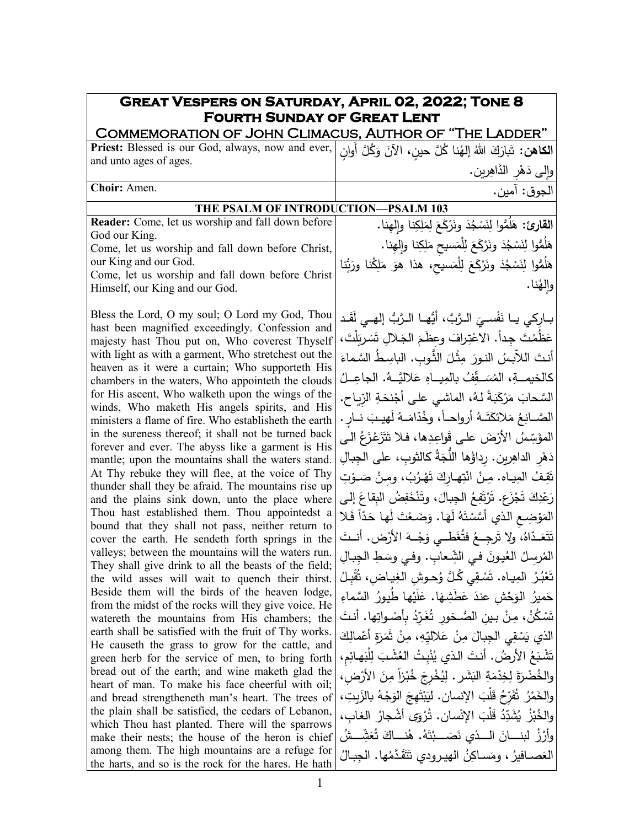| <b>GREAT VESPERS ON SATURDAY, APRIL 02, 2022; TONE 8</b><br><b>FOURTH SUNDAY OF GREAT LENT</b>                    |                                                                          |
|-------------------------------------------------------------------------------------------------------------------|--------------------------------------------------------------------------|
| COMMEMORATION OF JOHN CLIMACUS, AUTHOR OF "THE LADDER"                                                            |                                                                          |
| الكاهن: تَبارَكَ اللهُ إلهُنا كُلَّ حينِ، الآنَ وَكُلَّ أَوانٍ   Priest: Blessed is our God, always, now and ever |                                                                          |
| and unto ages of ages.                                                                                            | وإِلى دَهْرِ الدَّاهِرِينِ.                                              |
| Choir: Amen.                                                                                                      | الجوق: آمين.                                                             |
| THE PSALM OF INTRODUCTION-PSALM 103                                                                               |                                                                          |
| Reader: Come, let us worship and fall down before                                                                 | القارئ: هَلَمُّوا لِنَسْجُدَ ونَرْكَعَ لِمَلِكِنا وإِلهِنا.              |
| God our King.                                                                                                     |                                                                          |
| Come, let us worship and fall down before Christ,                                                                 | هَلُمُّوا لِنَسْجُدَ ونَرْكَعَ لِلْمَسيحِ مَلِكِنا وإِلْهِنا.            |
| our King and our God.<br>Come, let us worship and fall down before Christ                                         | هَلُمُّوا لِنَسْجُدَ ونَرْكَعَ لِلْمَسيح، هذا هوَ مَلِكُنا ورَبُّنا      |
| Himself, our King and our God.                                                                                    | والهُنا.                                                                 |
|                                                                                                                   |                                                                          |
| Bless the Lord, O my soul; O Lord my God, Thou                                                                    | بــارِكي يــا نَفْســيَ الـرَّبَّ، أَيُّهــا الــرَّبُّ إلهــي لَقَـد    |
| hast been magnified exceedingly. Confession and                                                                   | عَظُمْتَ جداً. الاعْتِرافَ وعظَمَ الجَلالِ تَسَرِبَلْتَ،                 |
| majesty hast Thou put on, Who coverest Thyself<br>with light as with a garment, Who stretchest out the            |                                                                          |
| heaven as it were a curtain; Who supporteth His                                                                   | أنتَ اللأَبِسُ النورَ مِثْلَ الثَّوبِ. الباسِطُ السَّماءَ                |
| chambers in the waters, Who appointeth the clouds                                                                 | كالخيمــةِ، المُسَــقِّفُ بالمِيــاهِ عَلاليَّــهُ. الجاعِــلُ           |
| for His ascent, Who walketh upon the wings of the                                                                 | السَّحابَ مَرْكَبَةً لـهُ، الماشـى علـى أَجْنحَةِ الرّياحِ.              |
| winds, Who maketh His angels spirits, and His<br>ministers a flame of fire. Who establisheth the earth            | الصَّــانِعُ مَلائكَتَــهُ أرواحـــاً، وخُدّامَــهُ لَهيــبَ نــار .     |
| in the sureness thereof; it shall not be turned back                                                              | المؤسِّسُ الأَرْضَ على قَواعِدِها، فلا تَتَزَعْزَعُ الـي                 |
| forever and ever. The abyss like a garment is His                                                                 |                                                                          |
| mantle; upon the mountains shall the waters stand.                                                                | دَهْرِ الداهِرِينِ. رداؤُها اللَّجَةُ كالثوبِ، على الجِبالِ              |
| At Thy rebuke they will flee, at the voice of Thy<br>thunder shall they be afraid. The mountains rise up          | تَقِفُ المِيـاه. مِـنْ انْتِهـاركَ تَهْرُبُ، ومـنْ صَـوْتِ               |
| and the plains sink down, unto the place where                                                                    | رَعْدِكَ تَجْزَعٍ. تَرْتَفِعُ الْجِبالَ، وتَنْخَفِضُ البِقاعَ إلى        |
| Thou hast established them. Thou appointedst a                                                                    | المَوْضِعِ الذي أَسَّسْتَهُ لَهَا. وَضَعْتَ لَها حَدّاً فَلا             |
| bound that they shall not pass, neither return to<br>cover the earth. He sendeth forth springs in the             | تَتَعَـدّاهُ، ولا تَرجِــعُ فتُغَطــى وَجْــهَ الأرْض. أنــتَ            |
| valleys; between the mountains will the waters run.                                                               | المُرسِلُ العُيونَ في الشِّعابِ. وفي وسَطِ الجِبالِ                      |
| They shall give drink to all the beasts of the field;                                                             | تَعْبُرُ المِيـاه. تَسْقِي كُلَّ وُحـوشِ الغِيـاضِ، ثَقْبِـلُ            |
| the wild asses will wait to quench their thirst.<br>Beside them will the birds of the heaven lodge,               |                                                                          |
| from the midst of the rocks will they give voice. He                                                              | حَميرُ الوَحْشِ عندَ عَطَشِهَا. عَلَيْها طَيورُ السَّماءِ                |
| watereth the mountains from His chambers; the                                                                     | تَسْكُنُ، مِنْ بين الصُـخور تُغَرّدُ بأَصْـواتِها. أنتَ                  |
| earth shall be satisfied with the fruit of Thy works.<br>He causeth the grass to grow for the cattle, and         | الذي يَسْقِي الجِبالَ مِنْ عَلاليِّهِ، مِنْ ثَمَرَةٍ أَعْمالِكَ          |
| green herb for the service of men, to bring forth                                                                 | تَشْبَعُ الأرضُ. أنتَ الذي يُنْبِتُ العُشْبَ لِلْبَهائِمِ،               |
| bread out of the earth; and wine maketh glad the                                                                  | والخُضْرَةَ لِخِدْمَةِ البَشَرِ . لِيُخْرِجَ خُبْزاً مِنَ الأَرْضِ،      |
| heart of man. To make his face cheerful with oil;<br>and bread strengtheneth man's heart. The trees of            | والخَمْرُ ۚ ثَفَرِّحُ قَلْبَ الإِنسانِ . ليَبْتَهِجَ الوَجْهُ بالزَبِتِ، |
| the plain shall be satisfied, the cedars of Lebanon,                                                              | والخُبْزُ  يُشَدِّدُ قَلْبَ الإِنْسانِ. تُرْوَى أشْجارُ  الغابِ،         |
| which Thou hast planted. There will the sparrows                                                                  |                                                                          |
| make their nests; the house of the heron is chief                                                                 | وأَرْزُ لبنــــانَ الــــذي نَصَــــبْتَهُ. هُنــــاكَ تُعَشِّـــشُ      |
| among them. The high mountains are a refuge for<br>the harts, and so is the rock for the hares. He hath           | العَصــافيرُ ، ومَسـاكِنُ الهيـرودي تَتَقَدَّمُها. الـجبـالُ             |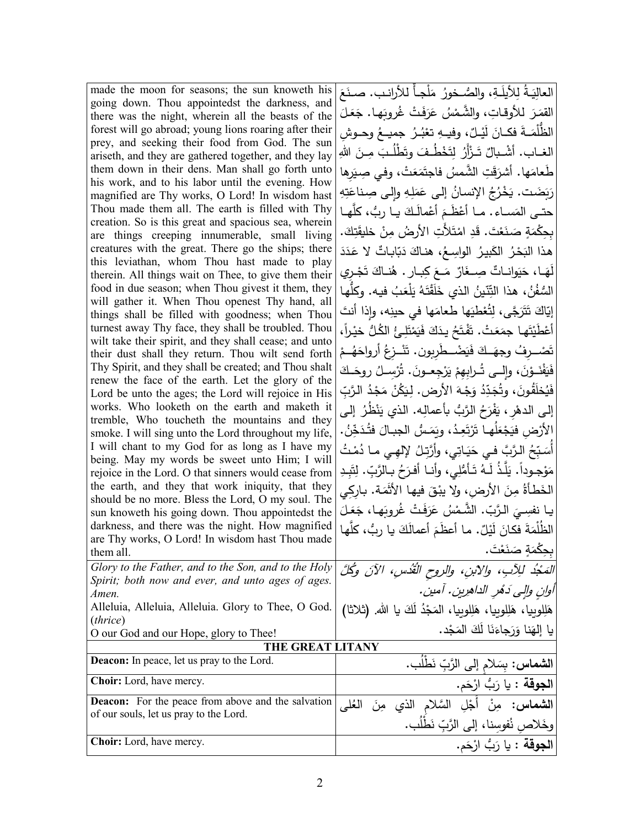| made the moon for seasons; the sun knoweth his                                                             | العالِيَـةُ لِلأَيلَـةِ، والصُّـخورُ مَلْجـأ للأرانـب. صـنَعَ             |
|------------------------------------------------------------------------------------------------------------|---------------------------------------------------------------------------|
| going down. Thou appointedst the darkness, and<br>there was the night, wherein all the beasts of the       | القَمَرَ للأوقاتِ، والشَّمْسُ عَرَفَتْ غُروبَها. جَعَلَ                   |
| forest will go abroad; young lions roaring after their                                                     | الظُّلْمَــةَ فكــانَ لَيْــلٌ، وفيــهِ تعْبُـرُ جميــعُ وحــوش           |
| prey, and seeking their food from God. The sun                                                             |                                                                           |
| ariseth, and they are gathered together, and they lay                                                      | الغــاب. أَشْــبالٌ تَــزْأَرُ لِتَخْطُـفَ وتَطْلُـبَ مِــنَ اللهِ        |
| them down in their dens. Man shall go forth unto                                                           | طَّعامَها. أَشْرَقَتِ الشَّمسُ فاجتَمَعَتْ، وفي صِيَرِها                  |
| his work, and to his labor until the evening. How                                                          | رَبَضَت. يَخْرُجُ الإِنسانُ إِلَى عَمَلِهِ وإِلَى صِناعَتِهِ              |
| magnified are Thy works, O Lord! In wisdom hast<br>Thou made them all. The earth is filled with Thy        |                                                                           |
| creation. So is this great and spacious sea, wherein                                                       | حتـي المَســاء . مــا أَعْظَـمَ أَعْمالَـكَ يــا ربُّ، كلَّهـا            |
| are things creeping innumerable, small living                                                              | بحِكْمَةٍ صَنَعْتَ. قَدِ امْتَلأتِ الأرضُ مِنْ خليقَتِكَ.                 |
| creatures with the great. There go the ships; there                                                        | هذا الْبَحْرُ الْكَبِيرُ الْواسِعُ، هنـاكَ دَبّابـاتٌ لا عَدَدَ           |
| this leviathan, whom Thou hast made to play                                                                | لَهَـا، حَيَوانــاتٌ صِــغَارٌ مَــعَ كِبــار . هُنــاكَ تَجْـري          |
| therein. All things wait on Thee, to give them their                                                       |                                                                           |
| food in due season; when Thou givest it them, they<br>will gather it. When Thou openest Thy hand, all      | السُّفُنُ، هذا التِّنّينُ الذي خَلَقْتَهُ يَلْعَبُ فيه. وكلّها            |
| things shall be filled with goodness; when Thou                                                            | إِيّاكَ تَتَرَجَّى، لِتُعْطَيَها طَعامَها في حينِه، وإذا أنتَ             |
| turnest away Thy face, they shall be troubled. Thou                                                        | أَعْطَيْتَها جمَعَتْ. تَفْتَحُ يدَكَ فَيَمْتَلِئُ الكُلُّ خيْراً،         |
| wilt take their spirit, and they shall cease; and unto                                                     |                                                                           |
| their dust shall they return. Thou wilt send forth                                                         | تَصْـــرفُ وجهَــكَ فَيَضْـــطَربون. تَتْـــزعُ أَرواحَهُــمْ             |
| Thy Spirit, and they shall be created; and Thou shalt<br>renew the face of the earth. Let the glory of the | فَيَفْذَوْنَ، وإِلــي تُــرابِهِمْ يَرْجِعــونَ. تُرْسِــلُ روحَــكَ      |
| Lord be unto the ages; the Lord will rejoice in His                                                        | فَيُخلَقُونَ، وتُجَدِّدُ وَجْهَ الأَرض. لِيَكُنْ مَجْدُ الرَّبِّ          |
| works. Who looketh on the earth and maketh it                                                              | إلى الدهْرِ ، يَفْرَحُ الرَّبُّ بأعمالِه. الذي يَنْظُرُ ۖ إلـي            |
| tremble, Who toucheth the mountains and they                                                               |                                                                           |
| smoke. I will sing unto the Lord throughout my life,                                                       | الأَرْضِ فيَجْعَلُهـا تَرْتَعِـدُ، ويَمَـسُ الـجبـالَ فتُـدَخِّنُ.        |
| I will chant to my God for as long as I have my                                                            | أَسَبِّحُ الرَّبَّ فـي حَيَـاتِي، وأَرَّتِـلُ لِإلهِـي مـا دُمْـتُ        |
| being. May my words be sweet unto Him; I will<br>rejoice in the Lord. O that sinners would cease from      | مَوْجوداً. يَلَّذُ لَـهُ تَـأَمُّلِي، وأنـا أفـرَحُ بـالرَّبِّ. لِتَبِـدِ |
| the earth, and they that work iniquity, that they                                                          | الخَطأةُ مِنَ الأرضِ، ولا يبْقَ فيها الأَثْمَة. باركي                     |
| should be no more. Bless the Lord, O my soul. The                                                          |                                                                           |
| sun knoweth his going down. Thou appointedst the                                                           | يـا نفسِـيَ الـرَّبِّ. الشَّمْسُ عَرَفَتْ غُروبَهـا، جَعَـلَ              |
| darkness, and there was the night. How magnified                                                           | الظُلْمَةَ فكانَ لَيْلٌ. ما أعظَمَ أعمالَكَ يا ربُّ، كلّها                |
| are Thy works, O Lord! In wisdom hast Thou made<br>them all.                                               | بحِكْمَةٍ صَنَعْتَ.                                                       |
| Glory to the Father, and to the Son, and to the Holy                                                       |                                                                           |
| Spirit; both now and ever, and unto ages of ages.                                                          | المَجْدُ للِأَبِ، والأبنِ، والروح القُدُسِ، الآنَ وكُلَّ                  |
| Amen.                                                                                                      | آوانِ والٍى دَمُرِ الداهرِينِ. آمينِ.                                     |
| Alleluia, Alleluia, Alleluia. Glory to Thee, O God.                                                        | هَلِلوبيا، هَلِلوبيا، هَلِلوبيا، المَجْدُ لَكَ يا الله. (ثلاثا)           |
| ( <i>thrice</i> )<br>O our God and our Hope, glory to Thee!                                                | يا إلهَنا وَرَجاءَنَا لَكَ المَجْد.                                       |
| THE GREAT LITANY                                                                                           |                                                                           |
| <b>Deacon:</b> In peace, let us pray to the Lord.                                                          | ا <b>لشماس:</b> بِسَلام إلى الرَّبِّ نَطْلُب.                             |
| <b>Choir:</b> Lord, have mercy.                                                                            | ا <b>لجوقة</b> : يا رَبُّ ارْحَم.                                         |
| <b>Deacon:</b> For the peace from above and the salvation                                                  | أَجْلِ السَّلام الذي مِنَ<br>العُلي                                       |
| of our souls, let us pray to the Lord.                                                                     | وخَلاصِ نُفوسِنا، إلى الرَّبِّ نَطْلُب.                                   |
| <b>Choir:</b> Lord, have mercy.                                                                            |                                                                           |
|                                                                                                            | ا <b>لجوقة</b> : يا رَبُّ ارْحَم.                                         |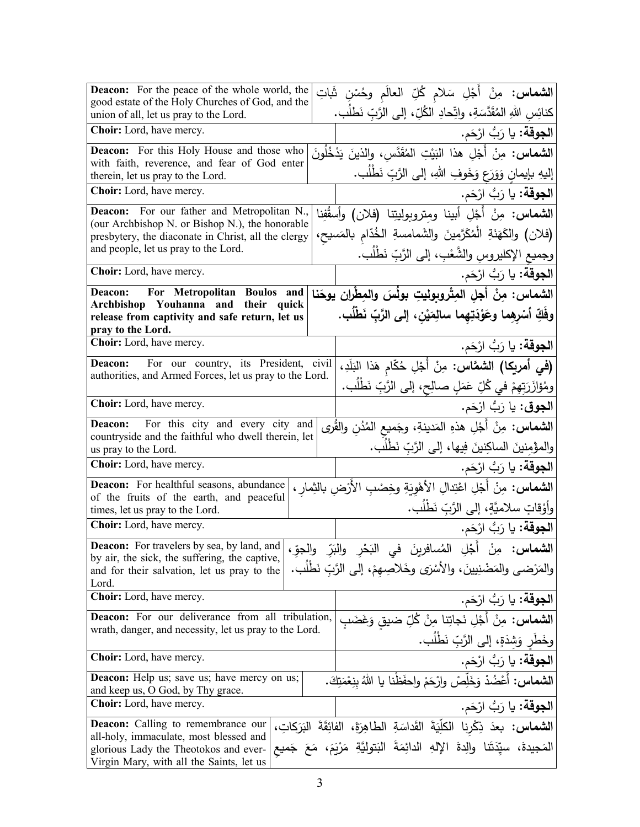| <b>Deacon:</b> For the peace of the whole world, the<br>good estate of the Holy Churches of God, and the                    | <b>الشماس:</b> مِنْ أَجْلِ سَلام كُلِّ العالَم وحُسْنِ شَاتِ                                                                 |
|-----------------------------------------------------------------------------------------------------------------------------|------------------------------------------------------------------------------------------------------------------------------|
| union of all, let us pray to the Lord.                                                                                      | كنائِس اللهِ المُقَدَّسَةِ، واتِّحادِ الكُلِّ، إلى الرَّبِّ نَطلُب.                                                          |
| Choir: Lord, have mercy.                                                                                                    | ا <b>لجوقة:</b> يا رَبُّ ارْحَم.                                                                                             |
| Deacon: For this Holy House and those who<br>with faith, reverence, and fear of God enter                                   | ا <b>لشماس:</b> مِنْ أَجْلِ هذا البَيْتِ المُقَدَّسِ، والذينَ يَدْخُلُونَ                                                    |
| therein, let us pray to the Lord.                                                                                           | إليهِ بإيمانِ وَوَرَعٍ وَخَوفِ اللهِ، إلى الرَّبِّ نَطْلُب.                                                                  |
| Choir: Lord, have mercy.                                                                                                    | ا <b>لجوقة:</b> يا رَبُّ ارْحَم.                                                                                             |
| Deacon: For our father and Metropolitan N.,                                                                                 | ا <b>لشماس:</b> مِنْ أَجْلِ أبينا ومِتروبوليتِنا (فلان) وأسقُفِنا                                                            |
| (our Archbishop N. or Bishop N.), the honorable<br>presbytery, the diaconate in Christ, all the clergy                      | (فلان) والكَهَنَةِ الْمُكَرَّمِينَ والشَمامسةِ الخُدّامِ بالمَسيح،                                                           |
| and people, let us pray to the Lord.                                                                                        | وجميع الإكليروس والشَّعْبِ، إلى الرَّبِّ نَطْلَب.                                                                            |
| Choir: Lord, have mercy.                                                                                                    | ا <b>لجوقة:</b> يا رَبُّ ارْحَم.                                                                                             |
| For Metropolitan Boulos and<br>Deacon:                                                                                      | الشماس: مِنْ أَجْلِ المِتْروبوليتِ بولُسَ والمِطْران يوحَنا                                                                  |
| Archbishop Youhanna and their quick<br>release from captivity and safe return, let us                                       | وفَكِّ أَسْرِهِما وعَوْدَتِهِما سالِمَيْن، إلى الرَّبِّ نَطْلُب.                                                             |
| pray to the Lord.                                                                                                           |                                                                                                                              |
| Choir: Lord, have mercy.                                                                                                    | ا <b>لجوقة:</b> يا رَبُّ ارْحَم.                                                                                             |
| For our country, its President, civil<br>Deacon:                                                                            | (في أمريكا) الشعَّاس: مِنْ أَجْلِ حُكّام هَذا البَلَدِ،                                                                      |
| authorities, and Armed Forces, let us pray to the Lord.                                                                     | ومُؤازَرَتِهِمْ في كُلِّ عَمَلٍ صالِحٍ، إلى الرَّبِّ نَطْلُب.                                                                |
| Choir: Lord, have mercy.                                                                                                    | ا <b>لجوق</b> : يا رَبُّ ارْحَم.                                                                                             |
| For this city and every city and<br>Deacon:                                                                                 | <b>الشماس:</b> مِنْ أَجْلِ هذهِ المَدينةِ، وجَميع المُدُن والقُرى                                                            |
| countryside and the faithful who dwell therein, let<br>us pray to the Lord.                                                 | والمؤْمِنينَ الساكِنينَ فِيها، إلى الرَّبِّ نَطْلُب.                                                                         |
| Choir: Lord, have mercy.                                                                                                    | ا <b>لجوقة:</b> يا رَبُّ ارْحَم.                                                                                             |
| Deacon: For healthful seasons, abundance<br>of the fruits of the earth, and peaceful                                        | ال <b>شماس:</b> مِنْ أَجْلِ اعْتِدالِ الأَهْوِيَةِ وخِصْبِ الأَرْضِ بالشِمارِ ،                                              |
| times, let us pray to the Lord.                                                                                             | وأَوْقَاتٍ سلاميَّةٍ، إلى الرَّبِّ نَطْلُب.                                                                                  |
| Choir: Lord, have mercy.                                                                                                    | ا <b>لجوقة:</b> يا رَبُّ ارْحَم.                                                                                             |
|                                                                                                                             | <mark>Deacon:</mark> For travelers by sea, by land, and   والبَرِّ والجوِّ العبادية العام العام العام العام العام العام العا |
| by air, the sick, the suffering, the captive,<br>and for their salvation, let us pray to the                                | والمَرْضي والمَضْنِيينَ، والأَسْرَى وخَلاصِهمْ، إلى الرَّبّ نَطْلُب.                                                         |
| Lord.                                                                                                                       |                                                                                                                              |
| Choir: Lord, have mercy.                                                                                                    | ا <b>لجوقة:</b> يا رَبُّ ارْحَم.                                                                                             |
| <b>Deacon:</b> For our deliverance from all tribulation,<br>wrath, danger, and necessity, let us pray to the Lord.          | <b>الشماس:</b> مِنْ أَجْلِ نَجاتِنا مِنْ كُلِّ ضيق وَغَضَبِ                                                                  |
|                                                                                                                             | وخَطَرٍ وَشِدَةٍ، إلى الرَّبِّ نَطْلَب.                                                                                      |
| Choir: Lord, have mercy.                                                                                                    | ا <b>لجوقة:</b> يا رَبُّ ارْحَم.                                                                                             |
| Deacon: Help us; save us; have mercy on us;<br>and keep us, O God, by Thy grace.                                            | <b>الشَّمَاس:</b> أَعْضُدْ وَخَلِّصْ وارْحَمْ واحفَظْنا يا اللهُ بِنِعْمَتِكَ.                                               |
| <b>Choir:</b> Lord, have mercy.                                                                                             | ا <b>لجوقة:</b> يا رَبُّ ارْحَم.                                                                                             |
| <b>Deacon:</b> Calling to remembrance our                                                                                   | الشماس: بعدَ ذِكْرِنا الكلِّيَةَ القَداسَةِ الطاهِرَةَ، الفائِقَةَ البَرَكاتِ،                                               |
| all-holy, immaculate, most blessed and<br>glorious Lady the Theotokos and ever-<br>Virgin Mary, with all the Saints, let us | المَجيدةَ، سيّدَتَنا والِدةَ الإِلهِ الدائِمَةَ البَتوليَّةِ مَرْيَمَ،                                                       |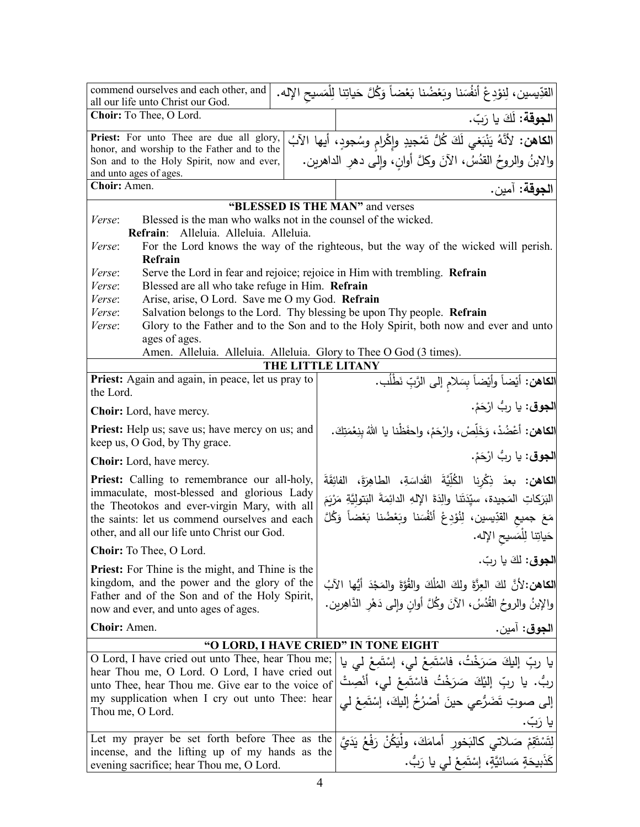| commend ourselves and each other, and<br>all our life unto Christ our God.                                             | القدِّيسين، لِنوْدِعْ أَنفُسَنا وبَعْضُنا بَعْضاً وَكُلَّ حَياتِنا لِلْمَسيحِ الإله.  |
|------------------------------------------------------------------------------------------------------------------------|---------------------------------------------------------------------------------------|
| Choir: To Thee, O Lord.                                                                                                | ا <b>لجوقة:</b> لَكَ يا رَبّ.                                                         |
| Priest: For unto Thee are due all glory,                                                                               | ا <b>لكاهن:</b> لأنَّهُ يَنْبَغي لَكَ كُلُّ تَمْجيدٍ وإِكْرامٍ وسُجودٍ، أيها الآبُ    |
| honor, and worship to the Father and to the                                                                            |                                                                                       |
| Son and to the Holy Spirit, now and ever,                                                                              | والابنُ والروحُ القَدُسُ، الآنَ وكلَّ أوانٍ، وإلى دهرِ الداهرين.                      |
| and unto ages of ages.                                                                                                 |                                                                                       |
| Choir: Amen.                                                                                                           | ا <b>لجوقة:</b> آمين.                                                                 |
|                                                                                                                        | "BLESSED IS THE MAN" and verses                                                       |
| Blessed is the man who walks not in the counsel of the wicked.<br><i>Verse:</i>                                        |                                                                                       |
| Refrain: Alleluia. Alleluia. Alleluia.                                                                                 |                                                                                       |
| Verse:                                                                                                                 | For the Lord knows the way of the righteous, but the way of the wicked will perish.   |
| Refrain                                                                                                                |                                                                                       |
| Serve the Lord in fear and rejoice; rejoice in Him with trembling. Refrain<br>Verse:                                   |                                                                                       |
| Blessed are all who take refuge in Him. Refrain<br>Verse:<br>Arise, arise, O Lord. Save me O my God. Refrain<br>Verse: |                                                                                       |
| Salvation belongs to the Lord. Thy blessing be upon Thy people. Refrain<br>Verse:                                      |                                                                                       |
| Verse:                                                                                                                 | Glory to the Father and to the Son and to the Holy Spirit, both now and ever and unto |
| ages of ages.                                                                                                          |                                                                                       |
| Amen. Alleluia. Alleluia. Alleluia. Glory to Thee O God (3 times).                                                     |                                                                                       |
|                                                                                                                        | THE LITTLE LITANY                                                                     |
| Priest: Again and again, in peace, let us pray to                                                                      | ا <b>لكاهن:</b> أَيْضاً وأَيْضاً بِسَلام إلى الرَّبِّ نَطْلُب.                        |
| the Lord.                                                                                                              |                                                                                       |
| <b>Choir:</b> Lord, have mercy.                                                                                        | ا <b>لجوق</b> : يا ربُّ ارْحَمْ.                                                      |
| <b>Priest:</b> Help us; save us; have mercy on us; and                                                                 | ا <b>لكاهن:</b> أعْضُدْ، وَخَلِّصْ، وارْحَمْ، واحفَظْنا يا اللهُ بنِعْمَتِكَ.         |
| keep us, O God, by Thy grace.                                                                                          |                                                                                       |
| <b>Choir:</b> Lord, have mercy.                                                                                        | ا <b>لجوق</b> : يا ربُّ ارْحَمْ.                                                      |
| Priest: Calling to remembrance our all-holy,                                                                           | ا <b>لكاهن: بع</b> دَ ذِكْرِنا الكُلِّيَّةَ القَداسَةِ، الطاهِرَةَ، الفائِقَةَ        |
| immaculate, most-blessed and glorious Lady                                                                             | البَرَكاتِ المَجيدة، سيِّدَتَنا والِدَةَ الإِلهِ الدائِمَةَ البَتوليَّةِ مَرْيَمَ     |
| the Theotokos and ever-virgin Mary, with all                                                                           |                                                                                       |
| the saints: let us commend ourselves and each                                                                          | مَعَ جميع القدِّيسين، لِنُوْدِعْ أَنْفُسَنا وبَعْضُنا بَعْضاً وَكُلَّ                 |
| other, and all our life unto Christ our God.                                                                           | حَياتِنا لِلْمَسيحِ الإِله.                                                           |
| Choir: To Thee, O Lord.                                                                                                |                                                                                       |
| <b>Priest:</b> For Thine is the might, and Thine is the                                                                | ا <b>لجوق</b> : لكَ يا ربّ.                                                           |
| kingdom, and the power and the glory of the                                                                            | ا <b>لكاهن:</b> لأنَّ لكَ العِزَّةَ ولكَ المُلْكَ والقُوَّةَ والمَجْدَ أَيُّها الآبُ  |
| Father and of the Son and of the Holy Spirit,                                                                          |                                                                                       |
| now and ever, and unto ages of ages.                                                                                   | والإبنُ والروحُ القُدُسُ، الآنَ وكُلَّ أوانِ وإلى دَهْرِ الدَّاهِرين.                 |
| Choir: Amen.                                                                                                           | ا <b>لجوق</b> : آمين.                                                                 |
|                                                                                                                        | "O LORD, I HAVE CRIED" IN TONE EIGHT                                                  |
| O Lord, I have cried out unto Thee, hear Thou me;                                                                      | يا ربِّ إليكَ صَرَخْتُ، فاسْتَمِعْ ليي، إسْتَمِعْ لي يا                               |
| hear Thou me, O Lord. O Lord, I have cried out                                                                         |                                                                                       |
| unto Thee, hear Thou me. Give ear to the voice of                                                                      | رِبُّ. يا ربِّ إلَيْكَ صَرَخْتُ فاسْتَمِعْ لي، أنْصِتْ                                |
| my supplication when I cry out unto Thee: hear                                                                         | إلى صوتِ تَضَرُّعي حينَ أَصْرُخُ إِلَيكَ، إِسْتَمِعْ لِي                              |
| Thou me, O Lord.                                                                                                       | يا رَبّ.                                                                              |
| Let my prayer be set forth before Thee as the                                                                          | لِتَسْتَقِمْ صَلاتي كالبَخورِ أمامَكَ، ولْيَكُنْ رَفْعُ يَدَيَّ                       |
| incense, and the lifting up of my hands as the                                                                         |                                                                                       |
| evening sacrifice; hear Thou me, O Lord.                                                                               | كَذَبِيحَةٍ مَسائيَّةٍ، إسْتَمِعْ لي يا رَبُّ.                                        |
|                                                                                                                        |                                                                                       |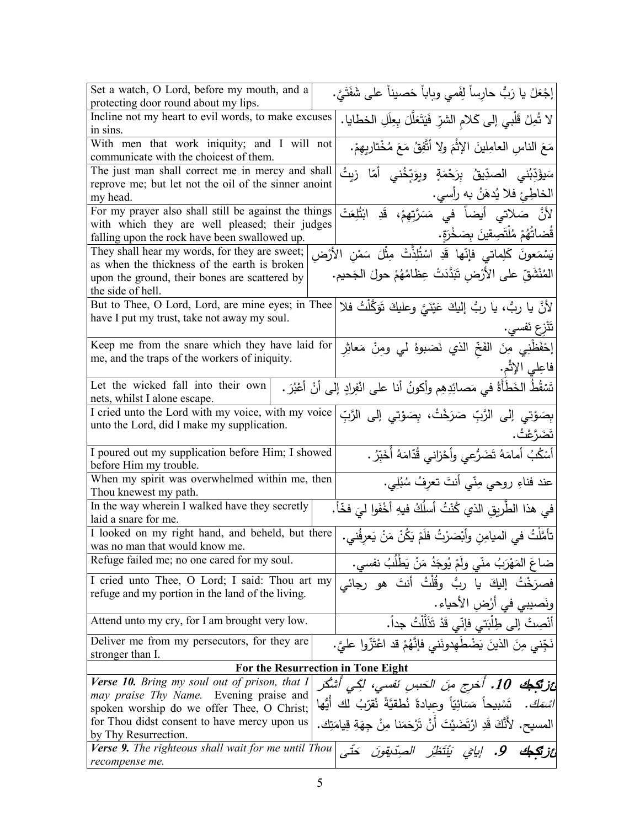| Set a watch, O Lord, before my mouth, and a                                           | إجْعَلْ يا رَبُّ حارِساً لِفَمي وباباً حَصيناً على شَفَتَيَّ.                 |
|---------------------------------------------------------------------------------------|-------------------------------------------------------------------------------|
| protecting door round about my lips.                                                  |                                                                               |
| Incline not my heart to evil words, to make excuses                                   | لا شُمِلْ قَلْبِي إِلَى كَلامِ الشَّرِّ فَيَتَعَلَّلَ بِعِلَلِ الْخطايا.      |
| in sins.                                                                              |                                                                               |
| With men that work iniquity; and I will not<br>communicate with the choicest of them. | مَعَ الناسِ العامِلينَ الإِثْمَ ولا أَتَّفِقُ مَعَ مُخْتَارِيهِمْ.            |
| The just man shall correct me in mercy and shall                                      |                                                                               |
| reprove me; but let not the oil of the sinner anoint                                  | سَيؤَدِّبُني الصدِّيقُ بِرَحْمَةٍ وبِوَبِّخُني أمّا زيتُ                      |
| my head.                                                                              | الخاطِئ فلا يُدهَنُ به رأسي.                                                  |
|                                                                                       |                                                                               |
| For my prayer also shall still be against the things                                  | لأنَّ صَلاتي أَيضاً في مَسَرَّتِهِمْ، قَدِ ابْتُلِعَتْ                        |
| with which they are well pleased; their judges                                        | قُضاتُهُمْ مُلْتَصِقِينَ بِصَخْرَةٍ.                                          |
| falling upon the rock have been swallowed up.                                         |                                                                               |
| They shall hear my words, for they are sweet;                                         | يَسْمَعونَ كَلِماتي فإنّها قَدِ اسْتُلِذَّتْ مِثْلَ سَمْنِ الأَرْضِ           |
| as when the thickness of the earth is broken                                          |                                                                               |
| upon the ground, their bones are scattered by                                         | المُنْشَقِّ على الأَرْضِ تَبَدَّدَتْ عِظامُهُمْ حولَ الجَحيم.                 |
| the side of hell.                                                                     |                                                                               |
| But to Thee, O Lord, Lord, are mine eyes; in Thee                                     | لأَنَّ يا ربُّ، يا ربُّ إليكَ عَيْنَيَّ وعليكَ تَوَكَّلْتُ فلا                |
| have I put my trust, take not away my soul.                                           |                                                                               |
|                                                                                       | تَنْزع نَفسي.                                                                 |
|                                                                                       |                                                                               |
| Keep me from the snare which they have laid for                                       | إِحْفَظْنِي مِنَ الفَخِّ الذي نَصَبوهُ لي ومِنْ مَعاثِرِ                      |
| me, and the traps of the workers of iniquity.                                         |                                                                               |
|                                                                                       | فاعِلي الإثْم.                                                                |
| Let the wicked fall into their own                                                    | تَسْقُطُ الخَطَأَةُ في مَصائِدِهِم وأكونُ أنا على انْفِرادٍ إلى أنْ أعْبُرَ . |
| nets, whilst I alone escape.                                                          |                                                                               |
| I cried unto the Lord with my voice, with my voice                                    | بِصَوْتي إِلَى الرَّبِّ صَرَخْتُ، بِصَوْتي إِلى الرَّبِّ                      |
| unto the Lord, did I make my supplication.                                            |                                                                               |
|                                                                                       | تَضَرَّعْتُ.                                                                  |
| I poured out my supplication before Him; I showed                                     | أَسْكُبُ أَمامَهُ تَضَرُّعي وأَحْزاني قُدّامَهُ أُخَبِّرُ .                   |
| before Him my trouble.                                                                |                                                                               |
| When my spirit was overwhelmed within me, then                                        |                                                                               |
| Thou knewest my path.                                                                 | عند فناءِ روحي مِنّي أنتَ تعرِفُ سُبُلِي.                                     |
| In the way wherein I walked have they secretly                                        |                                                                               |
| laid a snare for me.                                                                  | في هذا الطَّريقِ الذي كُنْتُ أسلُكُ فيهِ أخْفَوا ليَ فخّاً.                   |
|                                                                                       |                                                                               |
| I looked on my right hand, and beheld, but there                                      | تأمَّلْتُ في الميامِنِ وأَبْصَرْتُ فلَمْ يَكُنْ مَنْ يَعِرِفُني.              |
| was no man that would know me.                                                        |                                                                               |
| Refuge failed me; no one cared for my soul.                                           | ضاعَ المَهْرَبُ منّي ولَمْ يُوجَدُ مَنْ يَطْلُبُ نفسي.                        |
| I cried unto Thee, O Lord; I said: Thou art my                                        | فصرَخْتُ إليكَ يا ربُّ وقُلْتُ أنتَ هو رجائي                                  |
| refuge and my portion in the land of the living.                                      |                                                                               |
|                                                                                       | ونَصيبي في أرْضِ الأحياء .                                                    |
| Attend unto my cry, for I am brought very low.                                        | أَنْصِتْ إلى طِلْبَتي فَإِنّي قَدْ تَذَلَّلْتُ جِداً.                         |
| Deliver me from my persecutors, for they are                                          | نَجِّني مِنَ الذينَ يَضْطُهدونَني فإِنَّهُمْ قد اعْتَزُّوا عليَّ.             |
| stronger than I.                                                                      |                                                                               |
|                                                                                       | For the Resurrection in Tone Eight                                            |
| Verse 10. Bring my soul out of prison, that I                                         |                                                                               |
| may praise Thy Name. Evening praise and                                               | ائز <b>تَكِـبُكَ 10.</b> أخرج مِنَ الْحَسِنِ نَفْسى، لَكِّـى أَشْكَر          |
| spoken worship do we offer Thee, O Christ;                                            | تَسْبِيحاً مَسَائِيّاً وعِبادةً نُطقيَّةً نُقرّبُ لك أيُّها                   |
| for Thou didst consent to have mercy upon us                                          |                                                                               |
| by Thy Resurrection.                                                                  | المسيح. لأَنَّكَ قَدِ ارْتَضَيْتَ أَنْ تَرْحَمَنا مِنْ جهَةِ قِيامَتِك.       |
|                                                                                       |                                                                               |
| Verse 9. The righteous shall wait for me until Thou                                   | 9. إيايَ يَنْتَظِرُ الصِدْيقونَ                                               |
| recompense me.                                                                        |                                                                               |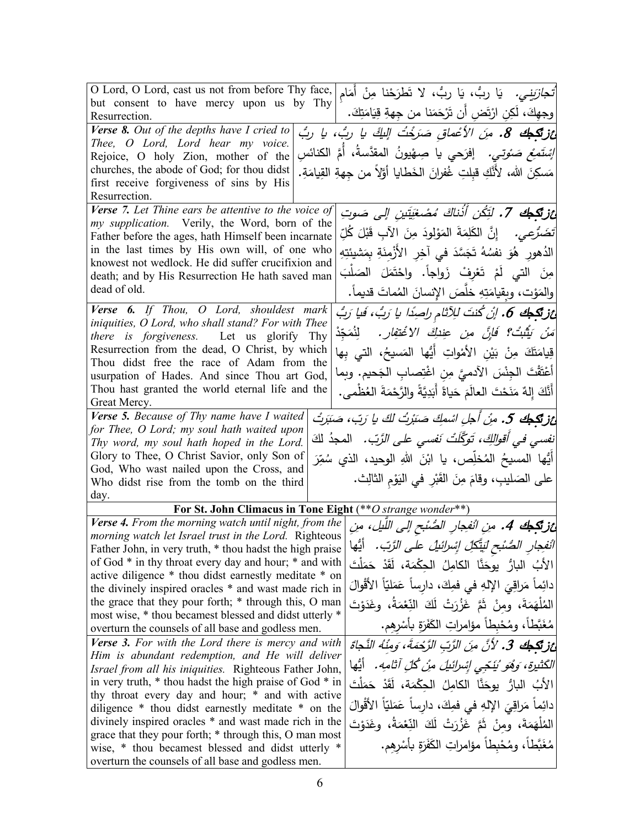| O Lord, O Lord, cast us not from before Thy face,<br><i>تُّجازَينِي.</i> يَا ربُّ، يَا ربُّ، لا تَطرَحْنا مِنْ أمَام                                         |
|--------------------------------------------------------------------------------------------------------------------------------------------------------------|
| but consent to have mercy upon us by Thy                                                                                                                     |
| وجهِكَ، لَكِن ارْتَض أن تَرْحَمَنا من جِهةِ قِيَامَتِكَ.<br>Resurrection.                                                                                    |
| Verse 8. Out of the depths have I cried to<br>غز <b>تَكِك 8.</b> مِنَ الأعْماق صَرَخْتُ اللَّكَ يا ربُّ، يا ربُّ                                             |
| Thee, O Lord, Lord hear my voice.<br><i>إِسْتَمِعْ صَوْتي.</i> إفرَحي يا صِهْيونُ المقدَّسةُ، أَمَّ الكنائس                                                  |
| Rejoice, O holy Zion, mother of the                                                                                                                          |
| churches, the abode of God; for thou didst<br>مَسكِنَ الله، لأنَّكِ قبِلتِ غُفرانَ الخَطايا أَوَّلاً من جِهةِ القِيامَةِ.                                    |
| first receive forgiveness of sins by His<br>Resurrection.                                                                                                    |
| Verse 7. Let Thine ears be attentive to the voice of                                                                                                         |
| ئز <b>تَكِيكَ 7.</b> لَتِّكُن أُذْناكَ مُصْغِيَّتِينِ إلى صَوتِ<br>my supplication. Verily, the Word, born of the                                            |
| تَضَرَّعِي.     إِنَّ  الكَلِمَةَ  المَوْلِودَ  مِنَ  الآبِ  قَبْلَ  كُلِّ<br>Father before the ages, hath Himself been incarnate                            |
| in the last times by His own will, of one who<br>الدُهورِ ۚ هُوَ نفسُهُ تَجَسَّدَ في آخِرِ الأَزْمِنَةِ بِمَشيئتِهِ                                          |
| knowest not wedlock. He did suffer crucifixion and                                                                                                           |
| مِنَ التي لَمْ تَعْرِفْ زَواجاً. واحْتَمَلَ الصَلْبَ<br>death; and by His Resurrection He hath saved man                                                     |
| dead of old.<br>والمَوْت، وبِقيامَتِهِ خَلَّصَ الإِنسانَ المُماتَ قديماً.                                                                                    |
| Verse 6. If Thou, O Lord, shouldest mark<br>ئز تَكِطِكَ 6. إنْ كُنتَ للِآثام راصِدًا يا رَبُ، فَيا رَبُ                                                      |
| iniquities, O Lord, who shall stand? For with Thee                                                                                                           |
| مَ <i>نْ يَثْبُتْ؟ فَإنَّ منِ عِنْدِكَ الا</i> ُعْ <i>تَفِار.</i> لِنُمَجِّدْ<br>there is forgiveness. Let us glorify Thy                                    |
| Resurrection from the dead, O Christ, by which<br>قِيامَتَكَ مِنْ بَيْنِ الأَمْواتِ أَيُّها المَسيحُ، التي بِها                                              |
| Thou didst free the race of Adam from the                                                                                                                    |
| أَعْتَقْتَ الْجِنْسَ الآدميَّ مِنِ اغْتِصابِ الْجَحيمِ. وبِما<br>usurpation of Hades. And since Thou art God,                                                |
| Thou hast granted the world eternal life and the<br>أَنَّكَ إِلهٌ مَنَحْتَ العالَمَ حَياةً أَبَدِيَّةً والرَّحْمَةَ العُظْمي.                                |
| Great Mercy.                                                                                                                                                 |
| Verse 5. Because of Thy name have I waited<br>غز تكجك 5. مِنْ أجلِ اسْمِكَ صَبَرْتُ لكَ يا رَبّ، صَبَرتُ                                                     |
| for Thee, O Lord; my soul hath waited upon<br>نف <i>سي في أقوالكَ، تَوكَّلَتْ نَفسى على الزَّبّ.</i> المجذُ لكَ<br>Thy word, my soul hath hoped in the Lord. |
| Glory to Thee, O Christ Savior, only Son of                                                                                                                  |
| أَيُّها المسيحُ المُخلِّص، يا ابْنَ اللهِ الوحيد، الذي سُمِّرَ<br>God, Who wast nailed upon the Cross, and                                                   |
| على الصَليبِ، وقامَ مِنَ القَبْرِ في اليَوْمِ الثالِث.<br>Who didst rise from the tomb on the third                                                          |
| day.                                                                                                                                                         |
| For St. John Climacus in Tone Eight (** O strange wonder**)                                                                                                  |
| Verse 4. From the morning watch until night, from the<br>غز <b>تكبك 4.</b> مِنِ الْنفِجارِ الصُنْبح إلى اللّيل، مِنِ                                         |
| morning watch let Israel trust in the Lord. Righteous                                                                                                        |
| أنفجارِ الصُنْحِ لَيَتَكِلِّ إِسْرائيلُ على الرَّبِّ. أيُّها<br>Father John, in very truth, * thou hadst the high praise                                     |
| of God * in thy throat every day and hour; * and with<br>الأبُ البارُ ۖ يوحَنَّا ۖ الكامِلُ ۖ الحِكْمَةِ، لَقَدْ حَمَلْتَ                                    |
| active diligence * thou didst earnestly meditate * on<br>دائِماً مَراقِيَ الإِلهِ في فمِكَ، دارساً عَمَليّاً الأَقْوالَ                                      |
| the divinely inspired oracles * and wast made rich in<br>the grace that they pour forth; * through this, O man                                               |
| الْمُلْهَمَةَ، ومِنْ ثَمَّ غَزُرَتْ لَكَ النِّعْمَةُ، وغَدَوْتَ<br>most wise, * thou becamest blessed and didst utterly *                                    |
| مُغَبَّطاً، ومُحْبِطاً مؤامراتِ الكَفَرَةِ بِأَسْرِهِم.<br>overturn the counsels of all base and godless men.                                                |
| <b>Verse 3.</b> For with the Lord there is mercy and with<br>عَزِتْكِجُكَ 3. لأَنَّ مِنَ الرَّبِّ الرَّحْمَةَ، وَمِنْهُ النَّجَاةَ                           |
| Him is abundant redemption, and He will deliver                                                                                                              |
| الكَثيرة، وَهُو ُيَنَجِّي إِسْرائِيلَ مِنْ كُلِّ آثامِهِ. ۖ أَيُّها<br>Israel from all his iniquities. Righteous Father John,                                |
| in very truth, * thou hadst the high praise of God * in<br>الأَبُ البارُ  يوحَنَّا  الكامِلُ  الحِكْمَة،  لَقَدْ  حَمَلْتَ                                   |
| thy throat every day and hour; * and with active<br>دائِماً مَراقِيَ الإِلهِ في فمِكَ، دارساً عَمَليّاً الأَقْوالَ                                           |
| diligence * thou didst earnestly meditate * on the<br>divinely inspired oracles * and wast made rich in the                                                  |
| الْمُلْهَمَةَ، ومِنْ ثَمَّ غَزُرَتْ لَكَ النِّعْمَةُ، وغَدَوْتَ<br>grace that they pour forth; * through this, O man most                                    |
|                                                                                                                                                              |
| مُغَبَّطاً، ومُحْبِطاً مؤامراتِ الكَفَرَةِ بِأَسْرِهِم.<br>wise, * thou becamest blessed and didst utterly *                                                 |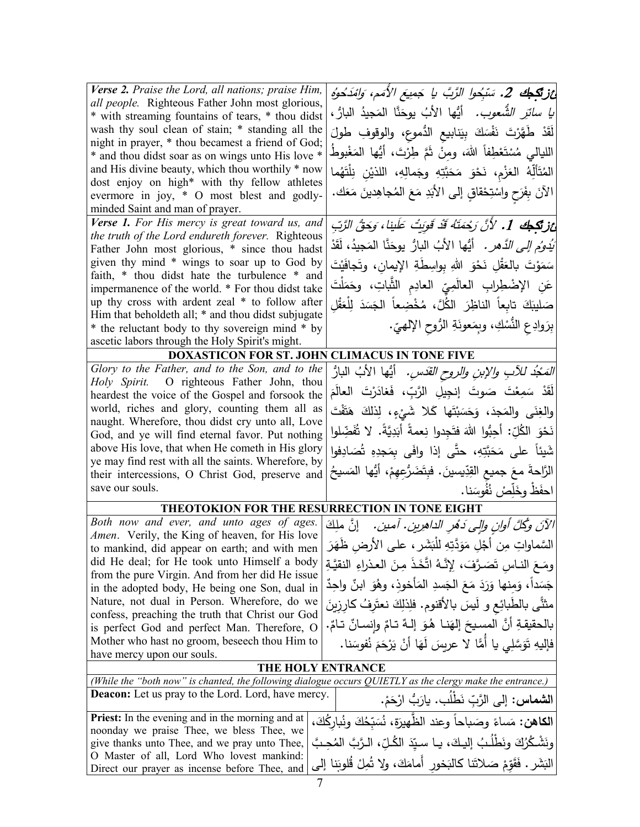| Verse 2. Praise the Lord, all nations; praise Him,<br>all people. Righteous Father John most glorious,<br>* with streaming fountains of tears, * thou didst<br>wash thy soul clean of stain; * standing all the<br>night in prayer, * thou becamest a friend of God;<br>* and thou didst soar as on wings unto His love *<br>and His divine beauty, which thou worthily * now<br>dost enjoy on high* with thy fellow athletes<br>evermore in joy, * O most blest and godly-<br>minded Saint and man of prayer.<br>Verse 1. For His mercy is great toward us, and<br>the truth of the Lord endureth forever. Righteous | أَرْزِيْكِهِكَ 2. سَبِّحُوا الرَّبَّ يا جَمِيعَ الأَمَمِ، وَامْدَحُوهُ<br><i>يا سائرَ الشُّعوب.</i> أيُّها الأبُ يوحَنَّا المَجيدُ البارُ ،<br>لَقَدْ طَهَّرْتَ نَفْسَكَ بِيَنابِيعِ الدُّموعِ، والوقوفِ طولَ<br>الليالي مُسْتَعْطِفاً اللهَ، ومِنْ ثَمَّ طِرْتَ، أَيُّها المَغْبوطُ<br>المُتَأَلِّهُ العَزْمِ، نَحْوَ مَحَبَّتِهِ وجَمالِهِ، اللذيْنِ نِلْتَهُما<br>الآنَ بِفَرَحٍ واسْتِحْقاقٍ إلى الأبَدِ مَعَ المُجاهِدينَ مَعَك.<br>غز <b>تَكِطِكَ 1.</b> لأَنَّ رَحْمَتَهُ قَدْ قَوِيتُ عَلَينا، وَحَقُّ الرَّبِّ |  |
|-----------------------------------------------------------------------------------------------------------------------------------------------------------------------------------------------------------------------------------------------------------------------------------------------------------------------------------------------------------------------------------------------------------------------------------------------------------------------------------------------------------------------------------------------------------------------------------------------------------------------|-------------------------------------------------------------------------------------------------------------------------------------------------------------------------------------------------------------------------------------------------------------------------------------------------------------------------------------------------------------------------------------------------------------------------------------------------------------------------------------------------------------------------|--|
| Father John most glorious, * since thou hadst<br>given thy mind * wings to soar up to God by<br>faith, * thou didst hate the turbulence * and<br>impermanence of the world. * For thou didst take<br>up thy cross with ardent zeal * to follow after<br>Him that beholdeth all; * and thou didst subjugate<br>* the reluctant body to thy sovereign mind * by<br>ascetic labors through the Holy Spirit's might.                                                                                                                                                                                                      | َ <i>يَدُوُمِ إِلَى الدَّهرِ .</i> أَيُّها الأَبُ البارُّ  يوحَنَّا  المَجيدُ، لَقَدْ<br>سَمَوْتَ بِالعَقْلِ نَحْوَ اللهِ بِواسِطَةِ الإِيمانِ، وتَجافَيْتَ<br>عَنِ الإِضْطِرابِ العالَمِيِّ العادِمِ الثَّباتِ، وحَمَلْتَ<br>صَليبَكَ تابِعاً الناظِرَ الكُلَّ، مُخْضِعاً الْجَسَدَ لِلْعَقْلِ<br>بِرَوادِعِ النُّسْكِ، وبِمَعونَةِ الرُّوحِ الإلهيِّ.                                                                                                                                                                 |  |
| <b>DOXASTICON FOR ST. JOHN</b>                                                                                                                                                                                                                                                                                                                                                                                                                                                                                                                                                                                        | <b>CLIMACUS IN TONE FIVE</b>                                                                                                                                                                                                                                                                                                                                                                                                                                                                                            |  |
| Glory to the Father, and to the Son, and to the                                                                                                                                                                                                                                                                                                                                                                                                                                                                                                                                                                       | <i>المَحْدُ للأبِ والإبنِ والروح القدّسِ.</i> أيُّها الأبُ البارُ                                                                                                                                                                                                                                                                                                                                                                                                                                                       |  |
| Holy Spirit. O righteous Father John, thou                                                                                                                                                                                                                                                                                                                                                                                                                                                                                                                                                                            | لَقَدْ سَمِعْتَ صَوتَ إنجِيلِ الرَّبِّ، فَغادَرْتَ العالَمَ                                                                                                                                                                                                                                                                                                                                                                                                                                                             |  |
| heardest the voice of the Gospel and forsook the                                                                                                                                                                                                                                                                                                                                                                                                                                                                                                                                                                      |                                                                                                                                                                                                                                                                                                                                                                                                                                                                                                                         |  |
| world, riches and glory, counting them all as                                                                                                                                                                                                                                                                                                                                                                                                                                                                                                                                                                         | والغِنَى والمَجدَ، وَحَسَبْتَها كَلا شَيْءٍ، لِذلكَ هَتَفْتَ                                                                                                                                                                                                                                                                                                                                                                                                                                                            |  |
| naught. Wherefore, thou didst cry unto all, Love                                                                                                                                                                                                                                                                                                                                                                                                                                                                                                                                                                      | نَحْوَ الكُلِّ: أَحِبُّوا اللهَ فتَجِدوا نِعمةً أَبَدِيَّةً. لا تُفَضِّلوا                                                                                                                                                                                                                                                                                                                                                                                                                                              |  |
| God, and ye will find eternal favor. Put nothing                                                                                                                                                                                                                                                                                                                                                                                                                                                                                                                                                                      |                                                                                                                                                                                                                                                                                                                                                                                                                                                                                                                         |  |
| above His love, that when He cometh in His glory<br>ye may find rest with all the saints. Wherefore, by                                                                                                                                                                                                                                                                                                                                                                                                                                                                                                               | شَيئاً على مَحَبَّتِهِ، حتَّى إذا وافَى بِمَجدِهِ تُصَادِفوا                                                                                                                                                                                                                                                                                                                                                                                                                                                            |  |
| their intercessions, O Christ God, preserve and                                                                                                                                                                                                                                                                                                                                                                                                                                                                                                                                                                       | الرَّاحةَ معَ جميع القِدِّيسينَ. فبِتَضَرُّعِهِمْ، أَيُّها المَسيحُ                                                                                                                                                                                                                                                                                                                                                                                                                                                     |  |
| save our souls.                                                                                                                                                                                                                                                                                                                                                                                                                                                                                                                                                                                                       | احفَظْ وخَلِّصْ نُفُوسَنا.                                                                                                                                                                                                                                                                                                                                                                                                                                                                                              |  |
|                                                                                                                                                                                                                                                                                                                                                                                                                                                                                                                                                                                                                       |                                                                                                                                                                                                                                                                                                                                                                                                                                                                                                                         |  |
| THEOTOKION FOR THE RESURRECTION IN TONE EIGHT                                                                                                                                                                                                                                                                                                                                                                                                                                                                                                                                                                         |                                                                                                                                                                                                                                                                                                                                                                                                                                                                                                                         |  |
| Both now and ever, and unto ages of ages.<br>Amen. Verily, the King of heaven, for His love                                                                                                                                                                                                                                                                                                                                                                                                                                                                                                                           | الآنَ وكُلَّ أُوانٍ وإلى دَهْرِ الداهرِينِ. آمينِ.<br>إِنَّ مَلِكَ                                                                                                                                                                                                                                                                                                                                                                                                                                                      |  |
| to mankind, did appear on earth; and with men                                                                                                                                                                                                                                                                                                                                                                                                                                                                                                                                                                         | السَّماواتِ مِن أَجْلِ مَوَدَّتِهِ للْبَشَرِ ، على الأرضِ ظَهَرَ                                                                                                                                                                                                                                                                                                                                                                                                                                                        |  |
| did He deal; for He took unto Himself a body                                                                                                                                                                                                                                                                                                                                                                                                                                                                                                                                                                          | ومَعَ النـاس تَصَـرَّفَ، لِإِنَّـهُ اتَّخَذَ مِنَ العـذراءِ النقيَّـةِ                                                                                                                                                                                                                                                                                                                                                                                                                                                  |  |
| from the pure Virgin. And from her did He issue                                                                                                                                                                                                                                                                                                                                                                                                                                                                                                                                                                       |                                                                                                                                                                                                                                                                                                                                                                                                                                                                                                                         |  |
| in the adopted body, He being one Son, dual in                                                                                                                                                                                                                                                                                                                                                                                                                                                                                                                                                                        | جَسَداً، وَمِنها وَرَدَ مَعَ الجَسدِ المَأْخوذ، وهُوَ ابنٌ واحِدٌ                                                                                                                                                                                                                                                                                                                                                                                                                                                       |  |
| Nature, not dual in Person. Wherefore, do we                                                                                                                                                                                                                                                                                                                                                                                                                                                                                                                                                                          | مثنَّى بالطَّبائِع و لَيسَ بالأقنوم. فلِذلِكَ نعتَرفُ كارزينَ                                                                                                                                                                                                                                                                                                                                                                                                                                                           |  |
| confess, preaching the truth that Christ our God                                                                                                                                                                                                                                                                                                                                                                                                                                                                                                                                                                      | بالحقيقةِ أَنَّ المسيحَ إلهَنـا ۖ هُوَ ۖ إِلـهٌ تـامٌ وإنسـانٌ تـامٌ.                                                                                                                                                                                                                                                                                                                                                                                                                                                   |  |
| is perfect God and perfect Man. Therefore, O<br>Mother who hast no groom, beseech thou Him to                                                                                                                                                                                                                                                                                                                                                                                                                                                                                                                         |                                                                                                                                                                                                                                                                                                                                                                                                                                                                                                                         |  |
| have mercy upon our souls.                                                                                                                                                                                                                                                                                                                                                                                                                                                                                                                                                                                            | فإليهِ تَوَسَّلِي يا أَمًّا لا عربِسَ لَهَا أَنْ يَرْحَمَ نُفوسَنا.                                                                                                                                                                                                                                                                                                                                                                                                                                                     |  |
|                                                                                                                                                                                                                                                                                                                                                                                                                                                                                                                                                                                                                       |                                                                                                                                                                                                                                                                                                                                                                                                                                                                                                                         |  |
| THE HOLY ENTRANCE<br>(While the "both now" is chanted, the following dialogue occurs QUIETLY as the clergy make the entrance.)                                                                                                                                                                                                                                                                                                                                                                                                                                                                                        |                                                                                                                                                                                                                                                                                                                                                                                                                                                                                                                         |  |
| <b>Deacon:</b> Let us pray to the Lord. Lord, have mercy.                                                                                                                                                                                                                                                                                                                                                                                                                                                                                                                                                             | ا <b>لشماس:</b> إلى الرَّبِّ نَطْلَب. يارَبُّ ارْحَمْ.                                                                                                                                                                                                                                                                                                                                                                                                                                                                  |  |
|                                                                                                                                                                                                                                                                                                                                                                                                                                                                                                                                                                                                                       |                                                                                                                                                                                                                                                                                                                                                                                                                                                                                                                         |  |
| <b>Priest:</b> In the evening and in the morning and at<br>noonday we praise Thee, we bless Thee, we                                                                                                                                                                                                                                                                                                                                                                                                                                                                                                                  | الكاهن: مَساءً وصَباحاً وعند الظَّهيرَة، نُسَبِّحُكَ ونُبارِكُكَ،                                                                                                                                                                                                                                                                                                                                                                                                                                                       |  |
| give thanks unto Thee, and we pray unto Thee,                                                                                                                                                                                                                                                                                                                                                                                                                                                                                                                                                                         | ونَشْكُرُكَ ونَطْلُبُ إليكَ، يـا سـيّدَ الكُـلِّ، الـرَّبَّ المُحِـبَّ                                                                                                                                                                                                                                                                                                                                                                                                                                                  |  |
| O Master of all, Lord Who lovest mankind:                                                                                                                                                                                                                                                                                                                                                                                                                                                                                                                                                                             |                                                                                                                                                                                                                                                                                                                                                                                                                                                                                                                         |  |
| Direct our prayer as incense before Thee, and                                                                                                                                                                                                                                                                                                                                                                                                                                                                                                                                                                         | البَشَرِ . فَقَوّمْ صَلاتَنا كالبَخورِ أَمامَكَ، ولا تُمِلْ قُلوبَنا إلى                                                                                                                                                                                                                                                                                                                                                                                                                                                |  |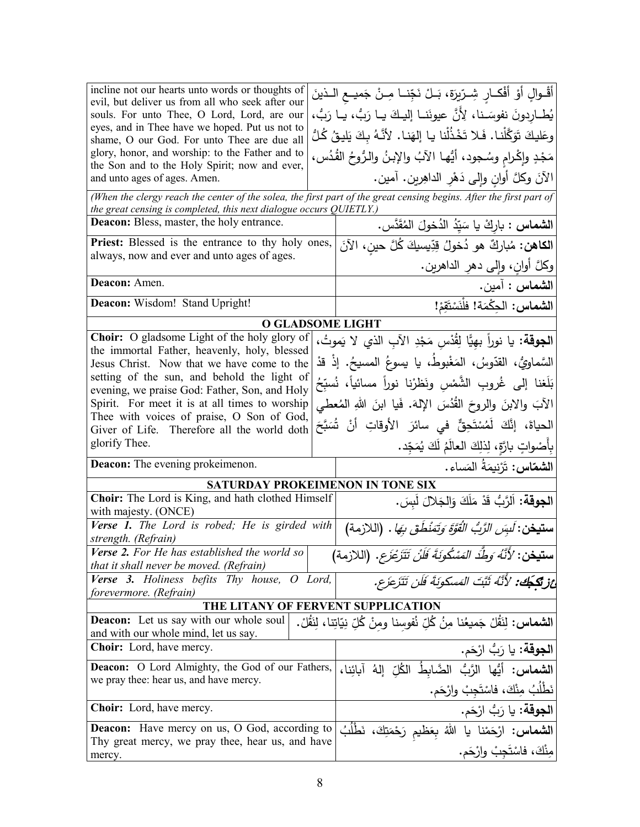| incline not our hearts unto words or thoughts of<br>evil, but deliver us from all who seek after our<br>souls. For unto Thee, O Lord, Lord, are our<br>eyes, and in Thee have we hoped. Put us not to<br>shame, O our God. For unto Thee are due all<br>glory, honor, and worship: to the Father and to<br>the Son and to the Holy Spirit; now and ever, |  | أَقْـوالٍ أَوْ أَفْكـارٍ شِـرّيرَةٍ، بَــلْ نَجِّنــا مِــنْ جَميــع الــذينَ<br>يُطــاردونَ نفوسَــنا، لِأنَّ عيونَنــا إليـكَ يــا رَبُّ، يــا رَبُّ،<br>وعَليكَ تَوَكَّلْنا. فَلا تَخْذُلْنا يا إلهَنا. لأنَّهُ بِكَ يَليقُ كُلُّ<br>مَجْدٍ وإِكْرامٍ وسُجودٍ، أَيُّها الآبُ والإِبنُ والرُوحُ القُدُسِ، |
|----------------------------------------------------------------------------------------------------------------------------------------------------------------------------------------------------------------------------------------------------------------------------------------------------------------------------------------------------------|--|-------------------------------------------------------------------------------------------------------------------------------------------------------------------------------------------------------------------------------------------------------------------------------------------------------------|
| and unto ages of ages. Amen.                                                                                                                                                                                                                                                                                                                             |  | الآنَ وكلَّ أوانٍ وإلى دَهْرِ الداهِرْينِ. آمين.                                                                                                                                                                                                                                                            |
| (When the clergy reach the center of the solea, the first part of the great censing begins. After the first part of<br>the great censing is completed, this next dialogue occurs QUIETLY.)                                                                                                                                                               |  |                                                                                                                                                                                                                                                                                                             |
| <b>Deacon:</b> Bless, master, the holy entrance.                                                                                                                                                                                                                                                                                                         |  | <b>الشماس :</b> باركْ يا سَيّدُ الدُخولَ المُقَدَّس.                                                                                                                                                                                                                                                        |
| Priest: Blessed is the entrance to thy holy ones,<br>always, now and ever and unto ages of ages.                                                                                                                                                                                                                                                         |  | ا <b>لكاهن:</b> مُباركٌ هو دُخولُ قِدِّيسيكَ كُلَّ حينِ، الآنَ<br>وكلَّ أوان، وإِلَى دهر الداهرين.                                                                                                                                                                                                          |
| Deacon: Amen.                                                                                                                                                                                                                                                                                                                                            |  | ال <b>شماس :</b> آمين.                                                                                                                                                                                                                                                                                      |
| Deacon: Wisdom! Stand Upright!                                                                                                                                                                                                                                                                                                                           |  | الشماس: الحِكْمَة! فلْنَسْتَقِرْ!                                                                                                                                                                                                                                                                           |
| O GLADSOME LIGHT                                                                                                                                                                                                                                                                                                                                         |  |                                                                                                                                                                                                                                                                                                             |
| <b>Choir:</b> O gladsome Light of the holy glory of                                                                                                                                                                                                                                                                                                      |  | ا <b>لجوقة:</b> يا نوراً بهِيًّا لِقُدْس مَجْدِ الآبِ الذي لا يَموتُ،                                                                                                                                                                                                                                       |
| the immortal Father, heavenly, holy, blessed<br>Jesus Christ. Now that we have come to the                                                                                                                                                                                                                                                               |  | السَّماويُّ، القدّوسُ، المَغْبوطُ، يا يسوعُ المسيحُ. إذْ قدْ                                                                                                                                                                                                                                                |
| setting of the sun, and behold the light of                                                                                                                                                                                                                                                                                                              |  | بَلَغنا إلى غُروبِ الشَّمْسِ ونَظرْنا نوراً مسائياً، نُسبّحُ                                                                                                                                                                                                                                                |
| evening, we praise God: Father, Son, and Holy<br>Spirit. For meet it is at all times to worship                                                                                                                                                                                                                                                          |  | الآبَ والابنَ والروحَ القُدُسَ اﻹلهَ. فَيا ابنَ اللهِ المُعطى                                                                                                                                                                                                                                               |
| Thee with voices of praise, O Son of God,                                                                                                                                                                                                                                                                                                                |  |                                                                                                                                                                                                                                                                                                             |
| Giver of Life. Therefore all the world doth                                                                                                                                                                                                                                                                                                              |  | الحياةَ، إنَّكَ لَمُسْتَحِقٌّ في سائرَ الأوقاتِ أنْ شُسَبَّحَ                                                                                                                                                                                                                                               |
| glorify Thee.                                                                                                                                                                                                                                                                                                                                            |  | بِأَصْواتٍ بارَّةٍ، لِذلِكَ العالَمُ لَكَ يُمَجّد.                                                                                                                                                                                                                                                          |
| <b>Deacon:</b> The evening prokeimenon.                                                                                                                                                                                                                                                                                                                  |  | ا <b>لشمّاس:</b> تَرْنِيمَةُ المَساء.                                                                                                                                                                                                                                                                       |
| SATURDAY PROKEIMENON IN TONE SIX                                                                                                                                                                                                                                                                                                                         |  |                                                                                                                                                                                                                                                                                                             |
| Choir: The Lord is King, and hath clothed Himself<br>with majesty. (ONCE)                                                                                                                                                                                                                                                                                |  | ا <b>لجوقة</b> : اَلرَّبُّ قَدْ مَلَكَ وَالجَلالَ لَبِسَ.                                                                                                                                                                                                                                                   |
| Verse 1. The Lord is robed; He is girded with<br>strength. (Refrain)                                                                                                                                                                                                                                                                                     |  | <b>ستيخن:</b> لَبِ <i>سَ الرَّبُّ الْقُوَّةَ وَتَمَنْطُقَ بِهَا</i> . (اللازمة)                                                                                                                                                                                                                             |
| <b>Verse 2.</b> For He has established the world so<br>that it shall never be moved. (Refrain)                                                                                                                                                                                                                                                           |  | <b>ستيغن</b> : <i>لأَنَّهُ وَطِّدَ المَسْكُونَةَ فَلَنْ تَتَزَعْزَع.</i> (اللازمة)                                                                                                                                                                                                                          |
| Verse 3. Holiness befits Thy house, O Lord,<br>forevermore. (Refrain)                                                                                                                                                                                                                                                                                    |  | ئِ لِمَكْمَلِكَ: لِأَنَّهُ ثَبَّتَ الْمَسكونَةَ فَلَن تَتَزَعَزَع.                                                                                                                                                                                                                                          |
| THE LITANY OF FERVENT SUPPLICATION                                                                                                                                                                                                                                                                                                                       |  |                                                                                                                                                                                                                                                                                                             |
| <b>Deacon:</b> Let us say with our whole soul<br>and with our whole mind, let us say.                                                                                                                                                                                                                                                                    |  | ا <b>لشماس:</b> لِنَقُلْ جَميعُنا مِنُ كُلِّ نُفوسنا ومنْ كُلِّ نِيّاتِنا، لِنَقُلْ.                                                                                                                                                                                                                        |
| <b>Choir:</b> Lord, have mercy.                                                                                                                                                                                                                                                                                                                          |  | ا <b>لجوقة:</b> يا رَبُّ ارْحَم.                                                                                                                                                                                                                                                                            |
| Deacon: O Lord Almighty, the God of our Fathers,<br>we pray thee: hear us, and have mercy.                                                                                                                                                                                                                                                               |  | <b>الشماس:</b> أَيُّها الرَّبُّ الضَّابطُ الكُلِّ إِلهُ آبائِنا،                                                                                                                                                                                                                                            |
|                                                                                                                                                                                                                                                                                                                                                          |  | نَطْلَبُ مِنْكَ، فاسْتَجِبْ وارْحَم.                                                                                                                                                                                                                                                                        |
| <b>Choir:</b> Lord, have mercy.                                                                                                                                                                                                                                                                                                                          |  | ا <b>لجوقة:</b> يا رَبُّ ارْحَم.                                                                                                                                                                                                                                                                            |
| <b>Deacon:</b> Have mercy on us, O God, according to<br>Thy great mercy, we pray thee, hear us, and have                                                                                                                                                                                                                                                 |  | ال <b>شماس:</b> ارْحَمْنا يا اللهُ بِعَظيم رَحْمَتِكَ، نَطْلَبُ                                                                                                                                                                                                                                             |
| mercy.                                                                                                                                                                                                                                                                                                                                                   |  | مِنْكَ، فَاسْتَجِبْ وَارْحَم.                                                                                                                                                                                                                                                                               |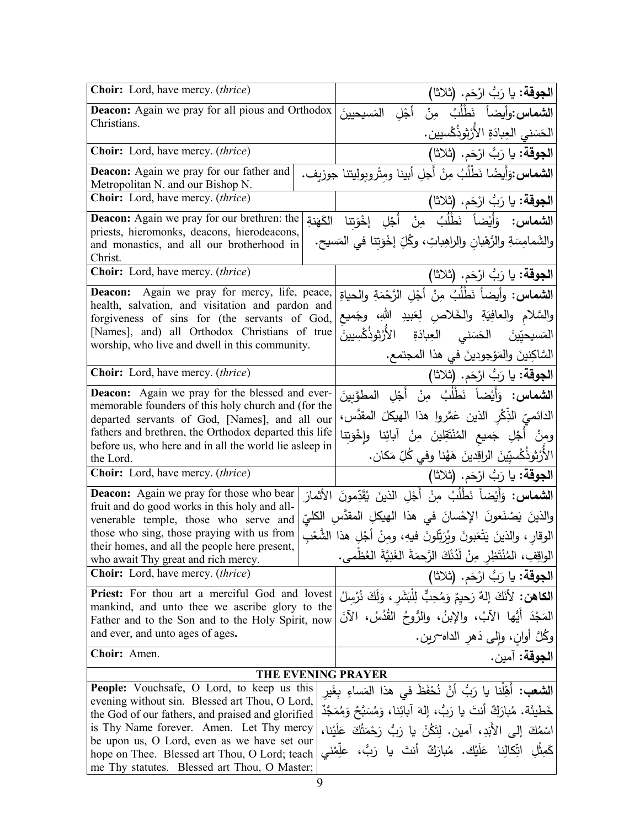| Choir: Lord, have mercy. (thrice)                                                                                | ا <b>لجوقة:</b> يا رَبُّ ارْحَم. (ثلاثا)                                     |  |
|------------------------------------------------------------------------------------------------------------------|------------------------------------------------------------------------------|--|
| <b>Deacon:</b> Again we pray for all pious and Orthodox                                                          | ا <b>لشماس وأ</b> يضاً نَطْلُبُ مِنْ أَجْلِ المَسيحيينَ                      |  |
| Christians.                                                                                                      | الحَسَنى العِبادَةِ الأَرْثوذُكْسيين.                                        |  |
| <b>Choir:</b> Lord, have mercy. (thrice)                                                                         | الجوقة: يا رَبُّ ارْحَم. (ثلاثا)                                             |  |
| Deacon: Again we pray for our father and<br>Metropolitan N. and our Bishop N.                                    | ا <b>لشماس:</b> وَأَيضًا نَطْلُبُ مِنْ أَجلِ أبينا ومِثْروبوليتنا جوزيف.     |  |
| Choir: Lord, have mercy. (thrice)                                                                                | ا <b>لجوقة:</b> يا رَبُّ ارْحَم. (ثلاثا)                                     |  |
| <b>Deacon:</b> Again we pray for our brethren: the                                                               | ا <b>لشماس:</b> وَأَيْضاً نَطْلُبُ مِنْ أَجْلِ إخْوَتنا الكَهَنةِ            |  |
| priests, hieromonks, deacons, hierodeacons,<br>and monastics, and all our brotherhood in<br>Christ.              | والشَّمامِسَةِ والرُّهْبانِ والراهِباتِ، وكُلِّ إخْوَتِنا في المَسيحِ.       |  |
| <b>Choir:</b> Lord, have mercy. (thrice)                                                                         | ا <b>لجوقة:</b> يا رَبُّ ارْحَم. (ثلاثا)                                     |  |
| Deacon: Again we pray for mercy, life, peace,                                                                    | ا <b>لشماس:</b> وأيضاً نَطْلُبُ مِنْ أَجْلِ الرَّحْمَةِ والحياةِ             |  |
| health, salvation, and visitation and pardon and<br>forgiveness of sins for (the servants of God,                | والسَّلامِ والعافِيَةِ والخَلاصِ لِعَبيدِ اللهِ، وجَميع                      |  |
| [Names], and) all Orthodox Christians of true                                                                    | المَسيحيِّينَ الحَسَنى العِبادَةِ الأَرْثوذُكْسِيينَ                         |  |
| worship, who live and dwell in this community.                                                                   | السَّاكِنينَ والمَوْجودينَ في هذا المجتمع.                                   |  |
| Choir: Lord, have mercy. (thrice)                                                                                | الجوقة: يا رَبُ ارْحَم. (ثلاثا)                                              |  |
| <b>Deacon:</b> Again we pray for the blessed and ever-                                                           | ا <b>لشماس:</b> وَأَيْضاً نَطْلُبُ مِنْ أَجْلِ الْمطوَّبِينَ                 |  |
| memorable founders of this holy church and (for the                                                              | الدائميِّ الذِّكْرِ الذين عَمَّروا هذا الهيكلَ المقدَّس،                     |  |
| departed servants of God, [Names], and all our<br>fathers and brethren, the Orthodox departed this life          | ومِنْ أَجْلِ جَميع الْمُنْتَقِلِينَ مِنْ آبائِنا وإِخْوَتِنا                 |  |
| before us, who here and in all the world lie asleep in                                                           |                                                                              |  |
| the Lord.<br><b>Choir:</b> Lord, have mercy. (thrice)                                                            | الأَرْثوذُكْسيِّينَ الراقِدينَ هَهُنا وفي كُلِّ مَكان.                       |  |
|                                                                                                                  | ا <b>لجوقة:</b> يا رَبُّ ارْحَم. (ثلاثا)                                     |  |
| <b>Deacon:</b> Again we pray for those who bear<br>fruit and do good works in this holy and all-                 | ا <b>لشماس:</b> وَأَيْضاً نَطْلُبُ مِنْ أَجْلِ الذينَ يُقَدِّمونَ الأَثمارَ  |  |
| venerable temple, those who serve and                                                                            | والذينَ يَصْنَعونَ الإِحْسانَ في هذا الهيكلِ المقدَّسِ الكليِّ               |  |
| those who sing, those praying with us from<br>their homes, and all the people here present,                      | الوقار ، والذينَ يَتْعَبونَ ويُرَتِّلونَ فيهِ، ومِنْ أَجْلِ هذا الشُّعْبِ    |  |
| who await Thy great and rich mercy.                                                                              | الواقِفِ، المُنْتَظِرِ مِنْ لَدُنْكَ الرَّحمَةَ الغَنِيَّةَ العُظْمى.        |  |
| <b>Choir:</b> Lord, have mercy. <i>(thrice)</i>                                                                  | ا <b>لجوقة:</b> يا رَبُّ ارْحَم. (ثلاثا)                                     |  |
| Priest: For thou art a merciful God and lovest                                                                   | ا <b>لكاهن:</b> لأَنَكَ إِلهٌ رَحِيمٌ وَمُحِبٌّ لِلْبَشَرِ ، وَلَكَ نُرْسِلُ |  |
| mankind, and unto thee we ascribe glory to the<br>Father and to the Son and to the Holy Spirit, now              | المَجْدَ أَيُّها الآبُ، والإِبنُ، والرُّوحُ القُدُسُ، الآنَ                  |  |
| and ever, and unto ages of ages.                                                                                 | وكُلَّ أُوانِ، وإِلَى دَهْرِ الداه~رين.                                      |  |
| Choir: Amen.                                                                                                     | ا <b>لجوقة:</b> آمين.                                                        |  |
|                                                                                                                  | <b>THE EVENING PRAYER</b>                                                    |  |
| <b>People:</b> Vouchsafe, O Lord, to keep us this                                                                | ا <b>لشعب:</b> أَهِّلْنا يا رَبُّ أَنْ نُحْفَظَ في هذا المَساءِ بِغَيرِ      |  |
| evening without sin. Blessed art Thou, O Lord,<br>the God of our fathers, and praised and glorified              | خَطْيئَة. مُبارَكٌ أَنتَ يا رَبُّ، إِلهَ آبائِنا، وَمُسَبَّحٌ وَمُمَجَّدٌ    |  |
| is Thy Name forever. Amen. Let Thy mercy<br>اسْمُكَ إِلَى الأَبَدِ، آمين. لِتَكُنْ يا رَبُّ رَحْمَتُكَ عَلَيْنا، |                                                                              |  |
| be upon us, O Lord, even as we have set our<br>كَمِثْلِ اتِّكَالِنا عَلَيْكَ. مُبارَكٌ أنتَ يا رَبُّ، علِّمْني   |                                                                              |  |
| hope on Thee. Blessed art Thou, O Lord; teach<br>me Thy statutes. Blessed art Thou, O Master;                    |                                                                              |  |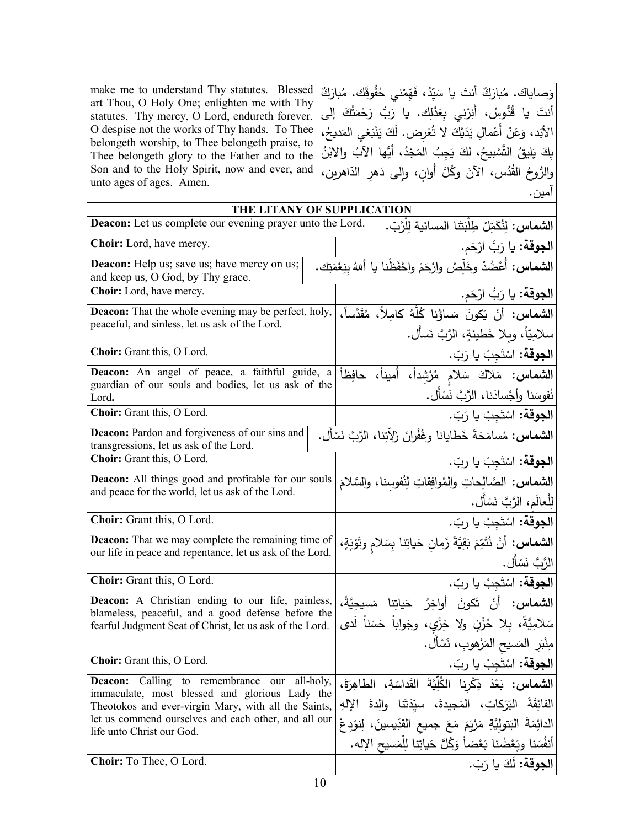| make me to understand Thy statutes. Blessed<br>art Thou, O Holy One; enlighten me with Thy                      | وَصاياك. مُبارَكٌ أنتَ يا سَيّدُ، فَهّمْني حُقُوقَك. مُبارَكٌ               |
|-----------------------------------------------------------------------------------------------------------------|-----------------------------------------------------------------------------|
| statutes. Thy mercy, O Lord, endureth forever.                                                                  | أنتَ يا قُدُّوسُ، أَنِرْني بِعَدْلِك. يا رَبُّ رَحْمَتُكَ إلى               |
| O despise not the works of Thy hands. To Thee<br>belongeth worship, to Thee belongeth praise, to                | الأَبَد، وَعَنْ أَعْمالِ يَدَيْكَ لا تُعْرِض. لَكَ يَنْبَغي المَديحُ،       |
| Thee belongeth glory to the Father and to the                                                                   | بِكَ يَلِيقُ التَّسْبِيحُ، لَكَ يَجِبُ المَجْدُ، أَيُّها الآبُ والابْنُ     |
| Son and to the Holy Spirit, now and ever, and                                                                   | والرُّوحُ القُدُس، الآنَ وكُلَّ أُوانٍ، وإلى دَهْرِ الدَّاهْرِينِ،          |
| unto ages of ages. Amen.                                                                                        | آمين .                                                                      |
|                                                                                                                 | THE LITANY OF SUPPLICATION                                                  |
| Deacon: Let us complete our evening prayer unto the Lord.                                                       | ا <b>لشماس:</b> لِنُكَمِّلْ طِلْبَتَنا المسائية لِلْرَّبِّ.                 |
| Choir: Lord, have mercy.                                                                                        | ا <b>لجوقة:</b> يا رَبُّ ارْحَم.                                            |
| Deacon: Help us; save us; have mercy on us;<br>and keep us, O God, by Thy grace.                                | ا <b>لشماس:</b> أَعْضُدْ وخَلِّصْ وارْحَمْ واحْفَظْنا يا أللهُ بنِعْمَتِكَ. |
| Choir: Lord, have mercy.                                                                                        | <b>الجوقة:</b> يا رَبُّ ارْحَم.                                             |
| <b>Deacon:</b> That the whole evening may be perfect, holy,                                                     | ا <b>لشماس:</b> أنْ يَكونَ مَساؤُنا كُلُّهُ كامِلاً، مُقَدَّساً،            |
| peaceful, and sinless, let us ask of the Lord.                                                                  | سلامِيّاً، وبلا خَطيئةٍ، الرَّبَّ نَسأَل.                                   |
| Choir: Grant this, O Lord.                                                                                      | ا <b>لجوقة:</b> اسْتَجِبْ يا رَبّ.                                          |
| Deacon: An angel of peace, a faithful guide, a                                                                  | الشعاس: مَلاكَ سَلام مُرْشِداً، أَميناً، حافِظاً                            |
| guardian of our souls and bodies, let us ask of the<br>Lord.                                                    | نُفوسَنا وأجْسادَنا، الرَّبَّ نَسْأَل.                                      |
| Choir: Grant this, O Lord.                                                                                      | ا <b>لجوقة:</b> اسْتَجِبْ يا رَبّ.                                          |
| <b>Deacon:</b> Pardon and forgiveness of our sins and                                                           | ا <b>لشماس:</b> مُسامَحَةَ خَطايانا وغُفْرانَ زَلاّتِنا، الرَّبَّ نَسْأَل.  |
| transgressions, let us ask of the Lord.                                                                         |                                                                             |
| Choir: Grant this, O Lord.                                                                                      | <b>الجوقة:</b> اسْتَجِبْ يا ربّ.                                            |
| <b>Deacon:</b> All things good and profitable for our souls<br>and peace for the world, let us ask of the Lord. | الشماس: الصَّالِحاتِ والمُوافِقاتِ لِنُفوسنا، والسَّلامَ                    |
|                                                                                                                 | لِلْعالَم، الرَّبَّ نَسْأَل.                                                |
| Choir: Grant this, O Lord.                                                                                      | ا <b>لجوقة:</b> اسْتَجِبْ يا ربّ.                                           |
| <b>Deacon:</b> That we may complete the remaining time of                                                       | ا <b>لشماس:</b> أَنْ نُتَمِّمَ بَقِيَّةَ زَمان حَياتِنا بِسَلام وتَوْبَةٍ،  |
| our life in peace and repentance, let us ask of the Lord.                                                       | الرَّبَّ نَسْأَل.                                                           |
| Choir: Grant this, O Lord.                                                                                      | ا <b>لجوقة:</b> اسْتَجِبْ يا ربّ.                                           |
| <b>Deacon:</b> A Christian ending to our life, painless,                                                        | ا <b>لشماس:</b> أنْ تَكونَ أواخِرُ حَياتِنا مَسيحيَّةً،                     |
| blameless, peaceful, and a good defense before the<br>fearful Judgment Seat of Christ, let us ask of the Lord.  | سَلامِيَّةً، بِلا حُزْنِ ولا خِزْيٍ، وجَواباً حَسَناً لَدى                  |
|                                                                                                                 | مِنْبَرِ المَسيحِ المَرْهوبِ، نَسْأَل.                                      |
| Choir: Grant this, O Lord.                                                                                      | ا <b>لجوقة:</b> اسْتَجِبْ يا ربّ.                                           |
| <b>Deacon:</b> Calling to remembrance our all-holy,                                                             | ا <b>لشماس:</b> بَعْدَ ذِكْرِنا الْكُلِّيَّةَ القَداسَةِ، الطاهِرَةَ،       |
| immaculate, most blessed and glorious Lady the<br>Theotokos and ever-virgin Mary, with all the Saints,          | الفائِقَةَ البَرَكاتِ، المَجيدةَ، سيِّدَتَنا والِدةَ الإِلهِ                |
| let us commend ourselves and each other, and all our                                                            | الدائِمَةَ البَتولِيَّةِ مَرْيَمَ مَعَ جميع القدِّيسينَ، لِنوْدِعْ          |
| life unto Christ our God.                                                                                       | أَنفُسَنا وبَعْضُنا بَعْضاً وَكُلَّ حَياتِنا لِلْمَسيحِ الإِله.             |
|                                                                                                                 |                                                                             |

ا**لجوقة:** لكَ يا رَبّ.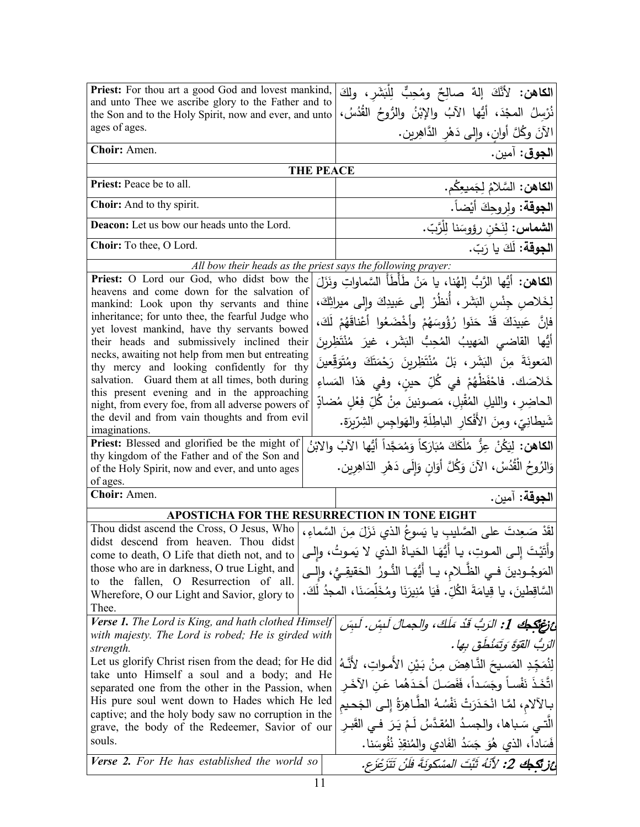| Priest: For thou art a good God and lovest mankind,                                                  | ا <b>لكاهن:</b> لأَنَّكَ إلهٌ صالِحٌ ومُحِبٌّ لِلْبَشَرِ، ولكَ                         |
|------------------------------------------------------------------------------------------------------|----------------------------------------------------------------------------------------|
| and unto Thee we ascribe glory to the Father and to                                                  | نُرْسِلُ المجْدَ، أَيُّها الآبُ والإِبْنُ والرُّوحُ القُدُسُ،                          |
| the Son and to the Holy Spirit, now and ever, and unto<br>ages of ages.                              | الآنَ وكُلَّ أُوانٍ، وإِلَى دَهْرِ الدَّاهِرِينِ.                                      |
| Choir: Amen.                                                                                         |                                                                                        |
| <b>THE PEACE</b>                                                                                     | ا <b>لجوق</b> : آمين.                                                                  |
| Priest: Peace be to all.                                                                             | ا <b>لكاهن:</b> السَّلامُ لِجَميعِكُم.                                                 |
| Choir: And to thy spirit.                                                                            |                                                                                        |
| Deacon: Let us bow our heads unto the Lord.                                                          | ا <b>لجوقة</b> : ولروحِكَ أيْضاً.                                                      |
|                                                                                                      | ا <b>لشماس:</b> لِنَحْن رؤوسَنا لِلْرَّبّ.                                             |
| Choir: To thee, O Lord.                                                                              | ا <b>لجوقة:</b> لَكَ يا رَبّ.                                                          |
| All bow their heads as the priest says the following prayer:                                         |                                                                                        |
| Priest: O Lord our God, who didst bow the                                                            | ا <b>لكاهن:</b> أيُّها الرَّبُّ إلهُنا، يا مَنْ طَأَطَأَ السَّماواتِ ونَزَلَ           |
| heavens and come down for the salvation of                                                           | لِخَلاص جِنْس البَشَر ، أَنظُرْ إلى عَبيدِكَ وإلى ميراثِكَ،                            |
| mankind: Look upon thy servants and thine<br>inheritance; for unto thee, the fearful Judge who       |                                                                                        |
| yet lovest mankind, have thy servants bowed                                                          | فإِنَّ عَبِيدَكَ قَدْ حَنَوا رُؤُوسَهُمْ وأَخْضَعُوا أَعْناقَهُمْ لَكَ،                |
| their heads and submissively inclined their                                                          | أَيُّها القاضي المَهيبُ المُحِبُّ البَشَرِ ،غيرَ مُنْتَظِرِينَ                         |
| necks, awaiting not help from men but entreating                                                     |                                                                                        |
| thy mercy and looking confidently for thy                                                            | الْمَعُونَةَ مِنَ الْبَشَرِ ،بَلْ مُنْتَظِرِينَ رَحْمَتَكَ وِمُتَوَقِّعِينَ            |
| salvation. Guard them at all times, both during                                                      | خَلاصَكَ. فاحْفَظْهُمْ في كُلِّ حينِ، وفي هَذا المَساءِ                                |
| this present evening and in the approaching                                                          | الحاضِرِ ، والليلِ المُقْبِلِ، مَصونينَ مِنْ كُلِّ فِعْلِ مُضادِّ                      |
| night, from every foe, from all adverse powers of                                                    |                                                                                        |
| the devil and from vain thoughts and from evil<br>imaginations.                                      | شَيطانِيّ، ومنَ الأفْكارِ الباطِلَةِ والهَواجِسِ الشِرّيرَةِ.                          |
| Priest: Blessed and glorified be the might of                                                        | ا <b>لكاهن:</b> لِيَكُنْ عِزُّ مُلْكَكَ مُبَارَكاً وَمُمَجَّداً أَيُّها الآبُ والابْنُ |
| thy kingdom of the Father and of the Son and                                                         |                                                                                        |
| of the Holy Spirit, now and ever, and unto ages                                                      | وَالزُوحُ الْقُدُسْ، الآنَ وَكُلَّ أَوَانٍ وَإِلَى دَهْرِ الدَاهِرِينِ.                |
| of ages.                                                                                             |                                                                                        |
| Choir: Amen.                                                                                         | ا <b>لجوقة:</b> آمين.                                                                  |
| <b>APOSTICHA FOR THE RESURRECTION IN TONE EIGHT</b>                                                  |                                                                                        |
| Thou didst ascend the Cross, O Jesus, Who                                                            | لَقَدْ صَعِدتَ على الصَّليبِ يا يَسوعُ الذي نَزَلَ مِنَ السَّماءِ ،                    |
| didst descend from heaven. Thou didst                                                                | وأَتَيْتَ إِلـى المـوتِ، يـا أَيُّهَـا الحَيـاةُ الـذي لا يَمـوتُ، وإِلـى              |
| come to death, O Life that dieth not, and to<br>those who are in darkness, O true Light, and         |                                                                                        |
| to the fallen, O Resurrection of all.                                                                | المَوجُـودينَ فــى الظّــلام، يــا أَيُّهَــا الذُّـورُ  الحَقيقِــىُ، وإلــى          |
| Wherefore, O our Light and Savior, glory to                                                          | السَّاقِطِينَ، يا قِيامَةَ الكُلِّ. فَيَا مُنِيرَنَا ومُخَلِّصَنَا، المجدُ لَكَ.       |
| Thee.                                                                                                |                                                                                        |
| Verse 1. The Lord is King, and hath clothed Himself                                                  | عْ نَوْتِكِكِ 1: الزَبُّ قَدْ مَلَكَ، والجمالَ لَبِسْ. لَبِسَ                          |
| with majesty. The Lord is robed; He is girded with                                                   | الرَبُ القَوَةَ وَتَمَنْظُقَ بِها .                                                    |
| strength.                                                                                            |                                                                                        |
| Let us glorify Christ risen from the dead; for He did<br>take unto Himself a soul and a body; and He | لِنُمَجِّدِ المَسيحَ النَّاهِضَ مِنْ بَيْنِ الأَمواتِ، لأَنَّهُ                        |
| separated one from the other in the Passion, when                                                    | اتَّخَذَ نَفْساً وجَسَداً، فَفَصَلَ أَحَدَهُما عَنِ الآخَرِ                            |
| His pure soul went down to Hades which He led                                                        | بـالآلام، لمَّـا انْحَدَرَتْ نَفْسُهُ الطّـاهِرَةُ إِلـى الجَحيم                       |
| captive; and the holy body saw no corruption in the                                                  |                                                                                        |
| grave, the body of the Redeemer, Savior of our                                                       | الَّتــي سَـباها، والجسدُ المُقدَّسُ لَـمْ يَـرَ فــي القَبـر                          |
| souls.                                                                                               | فَسَاداً، الذي هُوَ جَسَدُ الفَادي والمُنقِذِ نُفُوسَنا.                               |
| Verse 2. For He has established the world so                                                         | أَعْزِنْكُمْكَ 2: لأَنْهُ ثَبَّتَ الْمَسْكُونَةَ فَلَنْ تَتَزَعْزَع.                   |
|                                                                                                      |                                                                                        |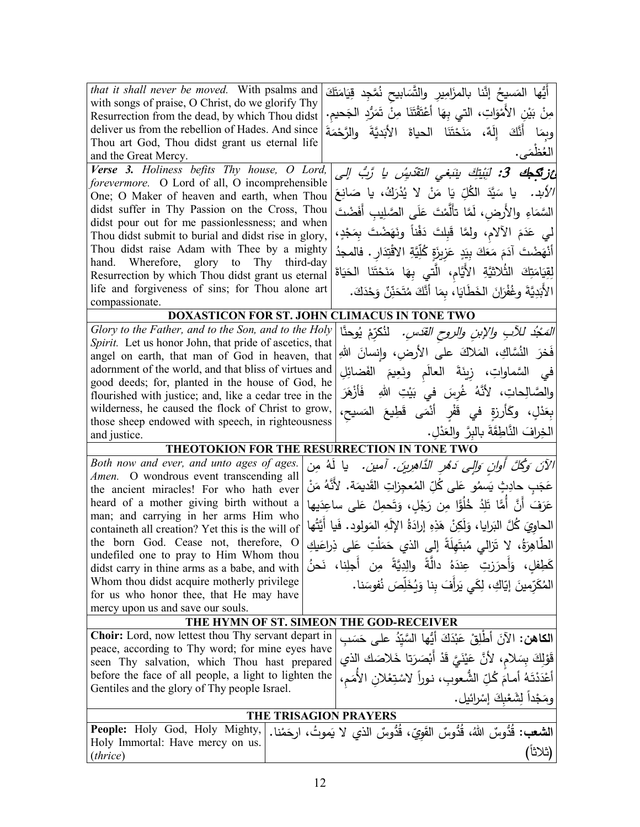| that it shall never be moved. With psalms and                                                             | أَيُّها المَسيحُ إنَّنا بالمزَامِيرِ والتَّسَابيح نُمَّجِد قِيَامَتَكَ             |
|-----------------------------------------------------------------------------------------------------------|------------------------------------------------------------------------------------|
| with songs of praise, O Christ, do we glorify Thy                                                         | مِنْ بَيْنِ الأَمْوَاتِ، التي بِهَا أَعْتَقْتَنَا مِنْ تَمَرُّدِ الْجَحيم.         |
| Resurrection from the dead, by which Thou didst                                                           |                                                                                    |
| deliver us from the rebellion of Hades. And since                                                         | وبِمَا أَنَّكَ إِلَهٌ، مَنَحْتَنَا الحياةَ الأَبَديَّةَ والرَّحْمَةَ               |
| Thou art God, Thou didst grant us eternal life<br>and the Great Mercy.                                    | العُظْمَى.                                                                         |
| Verse 3. Holiness befits Thy house, O Lord,                                                               | <b>ئزنگجك 3:</b> لَبِنْتِكَ ينَبَغى التقَديسُ يا رَّبُ إلى                         |
| forevermore. O Lord of all, O incomprehensible                                                            |                                                                                    |
| One; O Maker of heaven and earth, when Thou                                                               | <i>الأبد.</i> يا سَيَّدَ  الكُلِّ  يَا  مَنْ   لا  يُدْرَكُ،  يا  صَانِعَ          |
| didst suffer in Thy Passion on the Cross, Thou                                                            | السَّمَاءِ والأَرض، لَمَّا تأَلَّمْتَ عَلَى الصَّلِيبِ أَفَضْتَ                    |
| didst pour out for me passionlessness; and when<br>Thou didst submit to burial and didst rise in glory,   | لى عَدَمَ الآلام، ولمَّا قَبِلتَ دَفْناً ونَهَضْتَ بِمَجْدٍ،                       |
| Thou didst raise Adam with Thee by a mighty                                                               | أَنْهَضْتَ آدَمَ مَعَكَ بِيَدٍ عَزِيزَةٍ كُلِّيَّةِ الاقْتِدَارِ . فالمجدُ         |
| hand. Wherefore, glory to Thy third-day                                                                   |                                                                                    |
| Resurrection by which Thou didst grant us eternal                                                         | لِقِيَامَتِكَ الثُلاثيَّةِ الأَيَّامِ، الَّتي بِهَا مَنَحْتَنَا الحَيَاةَ          |
| life and forgiveness of sins; for Thou alone art                                                          | الأَبَدِيَّةَ وغُفْرَانَ الخَطَايَا، بِمَا أَنَّكَ مُتَحَنِّنٌ وَحْدَكَ.           |
| compassionate.                                                                                            |                                                                                    |
|                                                                                                           | DOXASTICON FOR ST. JOHN CLIMACUS IN TONE TWO                                       |
| Glory to the Father, and to the Son, and to the Holy                                                      | <i>المَجْدُ للآبِ والإبنِ والروحِ القدّسِ.</i> لنُكرِّمْ  يُوحنَّا                 |
| Spirit. Let us honor John, that pride of ascetics, that                                                   | فَخرَ   النُسَّاكِ،   المَلاكَ   على   الأرضِ،   وإنسانَ   اللهِ                   |
| angel on earth, that man of God in heaven, that                                                           |                                                                                    |
| adornment of the world, and that bliss of virtues and<br>good deeds; for, planted in the house of God, he | في السَّماواتِ، زِينَةَ العالَم ونَعِيمَ الفَضائِلِ                                |
| flourished with justice; and, like a cedar tree in the                                                    | والصَّالِحاتِ، لأَنَّهُ غُرِسَ في بَيْتِ اللهِ  فَأَزْهَرَ                         |
| wilderness, he caused the flock of Christ to grow,                                                        |                                                                                    |
| those sheep endowed with speech, in righteousness                                                         | بِعَدْلٍ، وكَأَرزةٍ في قَفْرٍ أَنْمَى قَطِيعَ المَسيح،                             |
| and justice.                                                                                              | الخِرافَ النَّاطِقَةَ بالبرَّ والعَذْلِ.                                           |
|                                                                                                           | THEOTOKION FOR THE RESURRECTION IN TONE TWO                                        |
| Both now and ever, and unto ages of ages.                                                                 | الآنَ وَكُلَّ أُولِنٍ وَإِلِي دَهْرِ الدَّاهِرِينَ. أَمينَ.  يا لَهُ مِن           |
| Amen. O wondrous event transcending all<br>the ancient miracles! For who hath ever                        | عَجَبِ حادِثٍ يَسمُو عَلى كُلِّ المُعجِزاتِ القَديمَة. لأنَّهُ مَنْ                |
| heard of a mother giving birth without a                                                                  | عَرَفَ أَنَّ أَمًّا تَلِدُ خُلُوًّا مِن رَجُلٍ، وَتَحمِلُ عَلى ساعِدَيها           |
| man; and carrying in her arms Him who                                                                     |                                                                                    |
| containeth all creation? Yet this is the will of                                                          | الحاويَ كُلَّ البَرايا، وَلَكِنْ هَذِهِ إِرادَةُ الإِلَهِ المَولود. فَيا أَيَّتُها |
| the born God. Cease not, therefore, O<br>undefiled one to pray to Him Whom thou                           | الطَّاهِرَةُ، لا تَرَللي مُبتَهِلَةً إلى الذي حَمَلْتِ عَلى ذِراعَيكِ              |
| didst carry in thine arms as a babe, and with                                                             | كَطِفلِ، وَأَحرَزتِ عِندَهُ دالَّةً والِدِيَّةً مِن أجلِنا، نَحنُ                  |
| Whom thou didst acquire motherly privilege                                                                | المُكَرِّمِينَ إِيّاكِ، لِكَى يَرِأَفَ بِنا وَيُخَلِّصَ نُفوسَنا.                  |
| for us who honor thee, that He may have                                                                   |                                                                                    |
| mercy upon us and save our souls.                                                                         |                                                                                    |
|                                                                                                           | THE HYMN OF ST. SIMEON THE GOD-RECEIVER                                            |
| <b>Choir:</b> Lord, now lettest thou Thy servant depart in                                                | ا <b>لكاهن:</b> الآنَ أَطْلِقْ عَبْدَكَ أَيُّها السَّيّدُ على حَسَب                |
| peace, according to Thy word; for mine eyes have<br>seen Thy salvation, which Thou hast prepared          | قَوْلِكَ بِسَلامٍ، لأَنَّ عَيْنَيَّ قَدْ أَبْصَرَتا خَلاصَكَ الذي                  |
| before the face of all people, a light to lighten the                                                     | أَعْدَدْتَهُ أَمامَ كُلِّ الشُّعوبِ، نوراً لاسْتِعْلانِ الأُمَمِ،                  |
| Gentiles and the glory of Thy people Israel.                                                              | ومَجْداً لِشَعْبِكَ إِسْرائيل.                                                     |
|                                                                                                           |                                                                                    |
| People: Holy God, Holy Mighty,                                                                            | <b>THE TRISAGION PRAYERS</b>                                                       |
| Holy Immortal: Have mercy on us.                                                                          | <b>الشعب:</b> قُدُوسٌ اللهُ، قُدُّوسٌ القَويّ، قُدُّوسٌ الذي لا يَموتُ، ارحَمْنا.  |
| (thrice)                                                                                                  | (ثلاثاً                                                                            |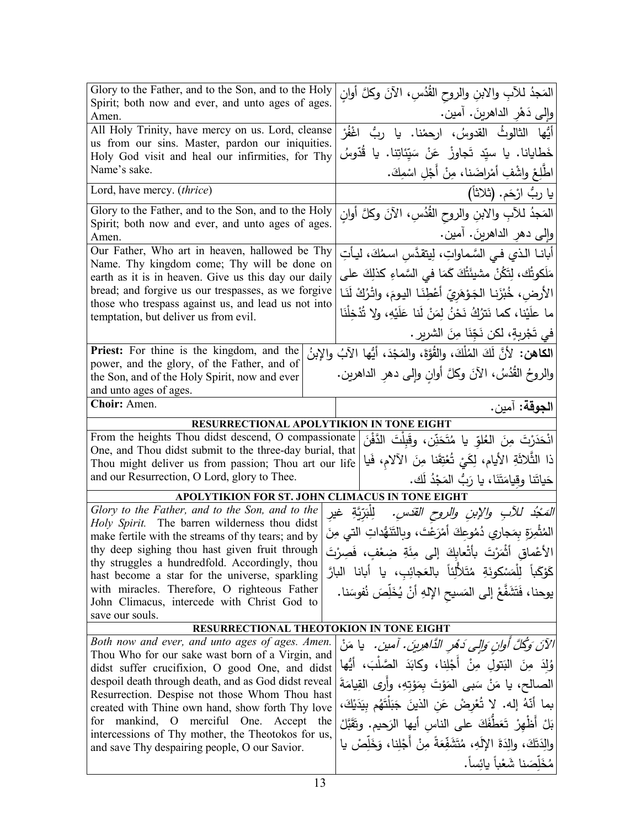| Glory to the Father, and to the Son, and to the Holy                                                                                                                      |  | المَجدُ للأبِ والابنِ والروح القُدُسِ، الآنَ وكلَّ أوانِ                          |  |  |
|---------------------------------------------------------------------------------------------------------------------------------------------------------------------------|--|-----------------------------------------------------------------------------------|--|--|
| Spirit; both now and ever, and unto ages of ages.<br>Amen.                                                                                                                |  | وإِلىي دَهْرِ الداهرينَ. أَمين.                                                   |  |  |
| All Holy Trinity, have mercy on us. Lord, cleanse<br>us from our sins. Master, pardon our iniquities.<br>Holy God visit and heal our infirmities, for Thy<br>Name's sake. |  | أَيُّها الثالوثُ القدوسُ، ارحمْنا. يا ربُّ اغْفُرْ                                |  |  |
|                                                                                                                                                                           |  | خَطايانا. يا سيّد تَجاوزْ عَنْ سَيِّئاتِنا. يا قَدّوسُ                            |  |  |
|                                                                                                                                                                           |  | اطْلِعْ واشْفِ أَمْراضَنا، مِنْ أَجْلِ اسْمِكَ.                                   |  |  |
| Lord, have mercy. (thrice)                                                                                                                                                |  | يا ربُ ارْحَم. (ثلاثاً)                                                           |  |  |
| Glory to the Father, and to the Son, and to the Holy<br>Spirit; both now and ever, and unto ages of ages.<br>Amen.                                                        |  | المَجدُ للآبِ والابنِ والروحِ القُدُسِ، الآنَ وكلَّ أوانِ                         |  |  |
|                                                                                                                                                                           |  | وإلى دهر الداهرينَ. أمين.                                                         |  |  |
| Our Father, Who art in heaven, hallowed be Thy                                                                                                                            |  | أبانـا الـذي فـى السَّماواتِ، لِيتقدَّس اسمُكَ، ليـأتِ                            |  |  |
| Name. Thy kingdom come; Thy will be done on                                                                                                                               |  | مَلَكوتُك، لِتَكُنْ مشيئَتُكَ كَمَا في السَّماءِ كذلِكَ على                       |  |  |
| earth as it is in heaven. Give us this day our daily<br>bread; and forgive us our trespasses, as we forgive<br>those who trespass against us, and lead us not into        |  |                                                                                   |  |  |
|                                                                                                                                                                           |  | الأرض، خُبْزَنـا الـجَـوْهَريّ أَعْطِنَـا اليـومَ، واتْرُكْ لَنَـا                |  |  |
| temptation, but deliver us from evil.                                                                                                                                     |  | ما علَيْنا، كما نَترُكُ نَحْنُ لِمَنْ لَنا عَلَيْهِ، ولا تُذْخِلْنَا              |  |  |
|                                                                                                                                                                           |  | في تَجْرِبةٍ، لكن نَجِّنَا مِنَ الشريرِ .                                         |  |  |
| <b>Priest:</b> For thine is the kingdom, and the                                                                                                                          |  | ا <b>لكاهن:</b> لأنَّ لَكَ المُلْكَ، والقُوَّةَ، والمَجْدَ، أَيُّها الآبُ والإبنُ |  |  |
| power, and the glory, of the Father, and of                                                                                                                               |  | والروحُ القُدُسُ، الآنَ وكلَّ أوانِ وإلى دهرِ الداهرين.                           |  |  |
| the Son, and of the Holy Spirit, now and ever<br>and unto ages of ages.                                                                                                   |  |                                                                                   |  |  |
| Choir: Amen.                                                                                                                                                              |  | ا <b>لجوقة:</b> آمين.                                                             |  |  |
|                                                                                                                                                                           |  | RESURRECTIONAL APOLYTIKION IN TONE EIGHT                                          |  |  |
|                                                                                                                                                                           |  |                                                                                   |  |  |
| From the heights Thou didst descend, O compassionate<br>One, and Thou didst submit to the three-day burial, that                                                          |  | انْحَدَرْتَ مِنَ الْعُلْوِّ يا مُتَحَنِّن، وقَبِلْتَ الدَّفْنَ                    |  |  |
| Thou might deliver us from passion; Thou art our life                                                                                                                     |  | ذا الثُّلاثَةِ الأيام، لِكَيْ تُعْتِقَنا مِنَ الآلام، فَيا                        |  |  |
| and our Resurrection, O Lord, glory to Thee.                                                                                                                              |  | حَياتَنا وقِيامَتَنَا، يا رَبُّ المَجْدُ لَك.                                     |  |  |
| APOLYTIKION FOR ST. JOHN CLIMACUS IN TONE EIGHT                                                                                                                           |  |                                                                                   |  |  |
| Glory to the Father, and to the Son, and to the<br>المَجْدُ للأَبِ والإبنِ والروحِ القَدَسِ.<br>لِلْبَرِّيَّةِ غيرِ                                                       |  |                                                                                   |  |  |
| Holy Spirit. The barren wilderness thou didst<br>الْمُثْمِرَةِ بِمَجارِي دُمُوعِكَ أَمْرَعْتَ، وبِالتَّنَهُّداتِ التي مِنَ                                                |  |                                                                                   |  |  |
| make fertile with the streams of thy tears; and by                                                                                                                        |  |                                                                                   |  |  |
| thy deep sighing thou hast given fruit through<br>الأَعْماق أَثْمَرْتَ بأَتْعابِكَ إِلَى مِئَةِ ضِعْفٍ، فَصِرْتَ<br>thy struggles a hundredfold. Accordingly, thou        |  |                                                                                   |  |  |
| كَوْكَباً لِلْمَسْكُونَةِ مُتَلَأَلِئاً بِالْعَجائِبِ، يا أَبانا البارَّ<br>hast become a star for the universe, sparkling                                                |  |                                                                                   |  |  |
| with miracles. Therefore, O righteous Father                                                                                                                              |  | يوحنا، فَتَشَفَّعْ إِلَى المَسيحِ الإِلهِ أَنْ يُخَلِّصَ نُفوسَنا.                |  |  |
| John Climacus, intercede with Christ God to                                                                                                                               |  |                                                                                   |  |  |
| save our souls.                                                                                                                                                           |  |                                                                                   |  |  |
|                                                                                                                                                                           |  | RESURRECTIONAL THEOTOKION IN TONE EIGHT                                           |  |  |
| Both now and ever, and unto ages of ages. Amen.                                                                                                                           |  | الآنَ وَكُلَّ أُوانٍ وَالِّي دَهْرِ الذَّاهِرِينَ. أَمنِنْ. ۖ يا مَنْ             |  |  |
| Thou Who for our sake wast born of a Virgin, and<br>didst suffer crucifixion, O good One, and didst                                                                       |  | وُلِدَ مِنَ البَتولِ مِنْ أَجْلِنا، وكابَدَ الصَّلْبَ، أَيُّها                    |  |  |
| despoil death through death, and as God didst reveal                                                                                                                      |  | الصالح، يا مَنْ سَبِي الْمَوْتَ بِمَوْتِهِ، وأَرِي الْقِيَامَةَ                   |  |  |
| Resurrection. Despise not those Whom Thou hast                                                                                                                            |  | بما أنَّهُ إله. لا تُعْرِضْ عَنِ الذينَ جَبَلْتَهُم بِيَدَيْكَ،                   |  |  |
| created with Thine own hand, show forth Thy love<br>for                                                                                                                   |  |                                                                                   |  |  |
| mankind, O merciful One. Accept the<br>intercessions of Thy mother, the Theotokos for us,<br>and save Thy despairing people, O our Savior.                                |  | بَلْ أَظْهِرْ تَعَطّْفَكَ على الناس أيها الرَحيم. وتَقَبَّلْ                      |  |  |
|                                                                                                                                                                           |  | والِدَتَكَ، والِدَةَ الإِلَهِ، مُتَشَفِّعَةً مِنْ أَجْلِنا، وَخَلِّصْ يا          |  |  |
|                                                                                                                                                                           |  | مُخَلِّصَنا شَعْباً يائِساً.                                                      |  |  |